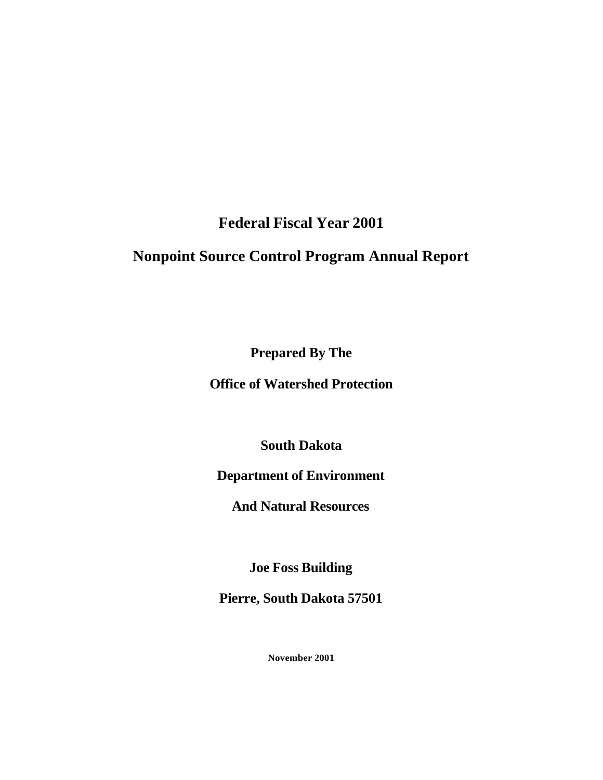**Federal Fiscal Year 2001**

# **Nonpoint Source Control Program Annual Report**

**Prepared By The** 

**Office of Watershed Protection**

**South Dakota** 

## **Department of Environment**

**And Natural Resources**

**Joe Foss Building**

**Pierre, South Dakota 57501**

**November 2001**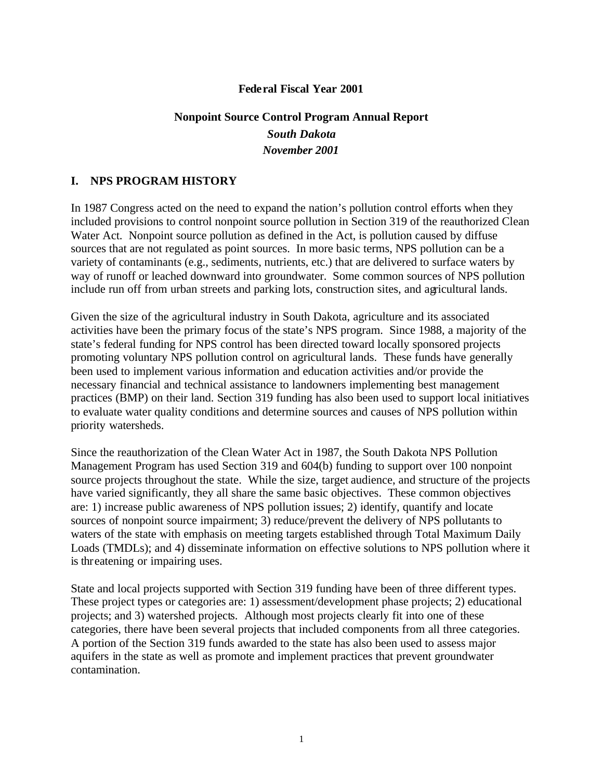### **Federal Fiscal Year 2001**

## **Nonpoint Source Control Program Annual Report** *South Dakota November 2001*

## **I. NPS PROGRAM HISTORY**

In 1987 Congress acted on the need to expand the nation's pollution control efforts when they included provisions to control nonpoint source pollution in Section 319 of the reauthorized Clean Water Act. Nonpoint source pollution as defined in the Act, is pollution caused by diffuse sources that are not regulated as point sources. In more basic terms, NPS pollution can be a variety of contaminants (e.g., sediments, nutrients, etc.) that are delivered to surface waters by way of runoff or leached downward into groundwater. Some common sources of NPS pollution include run off from urban streets and parking lots, construction sites, and agricultural lands.

Given the size of the agricultural industry in South Dakota, agriculture and its associated activities have been the primary focus of the state's NPS program. Since 1988, a majority of the state's federal funding for NPS control has been directed toward locally sponsored projects promoting voluntary NPS pollution control on agricultural lands. These funds have generally been used to implement various information and education activities and/or provide the necessary financial and technical assistance to landowners implementing best management practices (BMP) on their land. Section 319 funding has also been used to support local initiatives to evaluate water quality conditions and determine sources and causes of NPS pollution within priority watersheds.

Since the reauthorization of the Clean Water Act in 1987, the South Dakota NPS Pollution Management Program has used Section 319 and 604(b) funding to support over 100 nonpoint source projects throughout the state. While the size, target audience, and structure of the projects have varied significantly, they all share the same basic objectives. These common objectives are: 1) increase public awareness of NPS pollution issues; 2) identify, quantify and locate sources of nonpoint source impairment; 3) reduce/prevent the delivery of NPS pollutants to waters of the state with emphasis on meeting targets established through Total Maximum Daily Loads (TMDLs); and 4) disseminate information on effective solutions to NPS pollution where it is threatening or impairing uses.

State and local projects supported with Section 319 funding have been of three different types. These project types or categories are: 1) assessment/development phase projects; 2) educational projects; and 3) watershed projects. Although most projects clearly fit into one of these categories, there have been several projects that included components from all three categories. A portion of the Section 319 funds awarded to the state has also been used to assess major aquifers in the state as well as promote and implement practices that prevent groundwater contamination.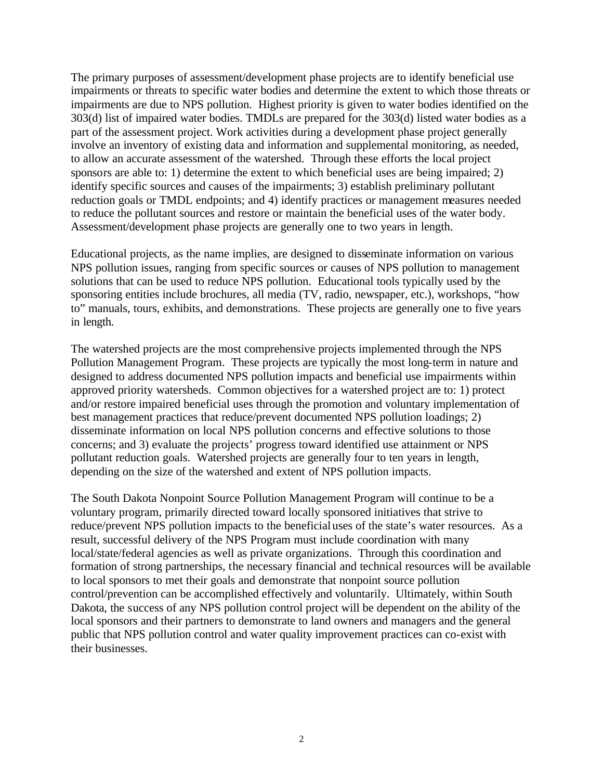The primary purposes of assessment/development phase projects are to identify beneficial use impairments or threats to specific water bodies and determine the extent to which those threats or impairments are due to NPS pollution. Highest priority is given to water bodies identified on the 303(d) list of impaired water bodies. TMDLs are prepared for the 303(d) listed water bodies as a part of the assessment project. Work activities during a development phase project generally involve an inventory of existing data and information and supplemental monitoring, as needed, to allow an accurate assessment of the watershed. Through these efforts the local project sponsors are able to: 1) determine the extent to which beneficial uses are being impaired; 2) identify specific sources and causes of the impairments; 3) establish preliminary pollutant reduction goals or TMDL endpoints; and 4) identify practices or management measures needed to reduce the pollutant sources and restore or maintain the beneficial uses of the water body. Assessment/development phase projects are generally one to two years in length.

Educational projects, as the name implies, are designed to disseminate information on various NPS pollution issues, ranging from specific sources or causes of NPS pollution to management solutions that can be used to reduce NPS pollution. Educational tools typically used by the sponsoring entities include brochures, all media (TV, radio, newspaper, etc.), workshops, "how to" manuals, tours, exhibits, and demonstrations. These projects are generally one to five years in length.

The watershed projects are the most comprehensive projects implemented through the NPS Pollution Management Program. These projects are typically the most long-term in nature and designed to address documented NPS pollution impacts and beneficial use impairments within approved priority watersheds. Common objectives for a watershed project are to: 1) protect and/or restore impaired beneficial uses through the promotion and voluntary implementation of best management practices that reduce/prevent documented NPS pollution loadings; 2) disseminate information on local NPS pollution concerns and effective solutions to those concerns; and 3) evaluate the projects' progress toward identified use attainment or NPS pollutant reduction goals. Watershed projects are generally four to ten years in length, depending on the size of the watershed and extent of NPS pollution impacts.

The South Dakota Nonpoint Source Pollution Management Program will continue to be a voluntary program, primarily directed toward locally sponsored initiatives that strive to reduce/prevent NPS pollution impacts to the beneficial uses of the state's water resources. As a result, successful delivery of the NPS Program must include coordination with many local/state/federal agencies as well as private organizations. Through this coordination and formation of strong partnerships, the necessary financial and technical resources will be available to local sponsors to met their goals and demonstrate that nonpoint source pollution control/prevention can be accomplished effectively and voluntarily. Ultimately, within South Dakota, the success of any NPS pollution control project will be dependent on the ability of the local sponsors and their partners to demonstrate to land owners and managers and the general public that NPS pollution control and water quality improvement practices can co-exist with their businesses.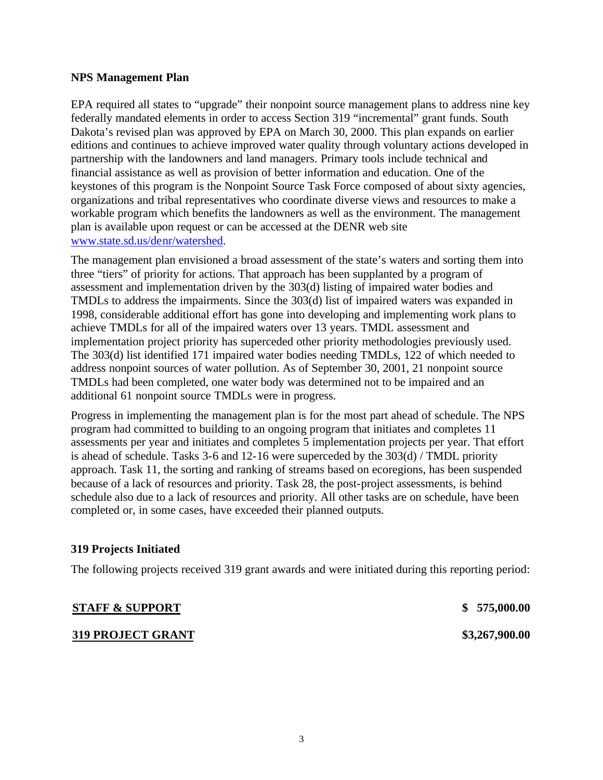#### **NPS Management Plan**

EPA required all states to "upgrade" their nonpoint source management plans to address nine key federally mandated elements in order to access Section 319 "incremental" grant funds. South Dakota's revised plan was approved by EPA on March 30, 2000. This plan expands on earlier editions and continues to achieve improved water quality through voluntary actions developed in partnership with the landowners and land managers. Primary tools include technical and financial assistance as well as provision of better information and education. One of the keystones of this program is the Nonpoint Source Task Force composed of about sixty agencies, organizations and tribal representatives who coordinate diverse views and resources to make a workable program which benefits the landowners as well as the environment. The management plan is available upon request or can be accessed at the DENR web site www.state.sd.us/denr/watershed.

The management plan envisioned a broad assessment of the state's waters and sorting them into three "tiers" of priority for actions. That approach has been supplanted by a program of assessment and implementation driven by the 303(d) listing of impaired water bodies and TMDLs to address the impairments. Since the 303(d) list of impaired waters was expanded in 1998, considerable additional effort has gone into developing and implementing work plans to achieve TMDLs for all of the impaired waters over 13 years. TMDL assessment and implementation project priority has superceded other priority methodologies previously used. The 303(d) list identified 171 impaired water bodies needing TMDLs, 122 of which needed to address nonpoint sources of water pollution. As of September 30, 2001, 21 nonpoint source TMDLs had been completed, one water body was determined not to be impaired and an additional 61 nonpoint source TMDLs were in progress.

Progress in implementing the management plan is for the most part ahead of schedule. The NPS program had committed to building to an ongoing program that initiates and completes 11 assessments per year and initiates and completes 5 implementation projects per year. That effort is ahead of schedule. Tasks 3-6 and 12-16 were superceded by the 303(d) / TMDL priority approach. Task 11, the sorting and ranking of streams based on ecoregions, has been suspended because of a lack of resources and priority. Task 28, the post-project assessments, is behind schedule also due to a lack of resources and priority. All other tasks are on schedule, have been completed or, in some cases, have exceeded their planned outputs.

#### **319 Projects Initiated**

The following projects received 319 grant awards and were initiated during this reporting period:

### **STAFF & SUPPORT \$ 575,000.00**

#### **319 PROJECT GRANT \$3,267,900.00**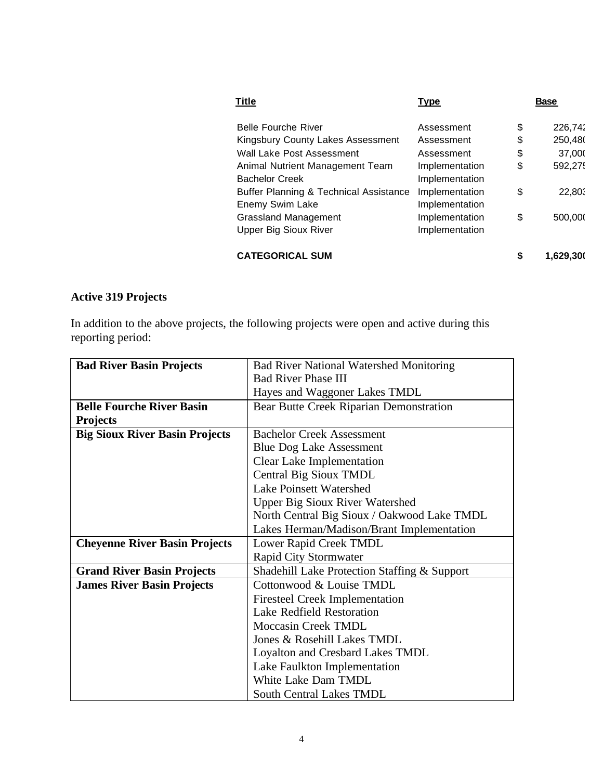| <b>Title</b>                                      | <u>Type</u>    | <b>Base</b>     |
|---------------------------------------------------|----------------|-----------------|
| <b>Belle Fourche River</b>                        | Assessment     | \$<br>226,742   |
| Kingsbury County Lakes Assessment                 | Assessment     | \$<br>250,480   |
| Wall Lake Post Assessment                         | Assessment     | \$<br>37,000    |
| Animal Nutrient Management Team                   | Implementation | \$<br>592,275   |
| <b>Bachelor Creek</b>                             | Implementation |                 |
| <b>Buffer Planning &amp; Technical Assistance</b> | Implementation | \$<br>22,803    |
| Enemy Swim Lake                                   | Implementation |                 |
| <b>Grassland Management</b>                       | Implementation | \$<br>500,000   |
| <b>Upper Big Sioux River</b>                      | Implementation |                 |
| <b>CATEGORICAL SUM</b>                            |                | \$<br>1,629,300 |

## **Active 319 Projects**

In addition to the above projects, the following projects were open and active during this reporting period:

| <b>Bad River Basin Projects</b>       | <b>Bad River National Watershed Monitoring</b> |  |
|---------------------------------------|------------------------------------------------|--|
|                                       | <b>Bad River Phase III</b>                     |  |
|                                       | Hayes and Waggoner Lakes TMDL                  |  |
| <b>Belle Fourche River Basin</b>      | Bear Butte Creek Riparian Demonstration        |  |
| <b>Projects</b>                       |                                                |  |
| <b>Big Sioux River Basin Projects</b> | <b>Bachelor Creek Assessment</b>               |  |
|                                       | <b>Blue Dog Lake Assessment</b>                |  |
|                                       | <b>Clear Lake Implementation</b>               |  |
|                                       | Central Big Sioux TMDL                         |  |
|                                       | <b>Lake Poinsett Watershed</b>                 |  |
|                                       | <b>Upper Big Sioux River Watershed</b>         |  |
|                                       | North Central Big Sioux / Oakwood Lake TMDL    |  |
|                                       | Lakes Herman/Madison/Brant Implementation      |  |
| <b>Cheyenne River Basin Projects</b>  | Lower Rapid Creek TMDL                         |  |
|                                       | <b>Rapid City Stormwater</b>                   |  |
| <b>Grand River Basin Projects</b>     | Shadehill Lake Protection Staffing & Support   |  |
| <b>James River Basin Projects</b>     | Cottonwood & Louise TMDL                       |  |
|                                       | <b>Firesteel Creek Implementation</b>          |  |
|                                       | <b>Lake Redfield Restoration</b>               |  |
|                                       | <b>Moccasin Creek TMDL</b>                     |  |
|                                       | Jones & Rosehill Lakes TMDL                    |  |
|                                       | Loyalton and Cresbard Lakes TMDL               |  |
|                                       | Lake Faulkton Implementation                   |  |
|                                       | White Lake Dam TMDL                            |  |
|                                       | <b>South Central Lakes TMDL</b>                |  |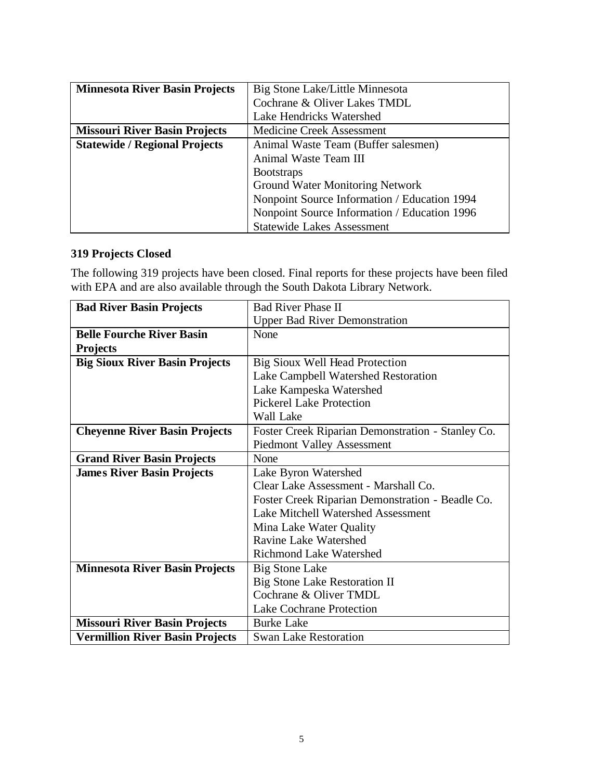| <b>Minnesota River Basin Projects</b> | Big Stone Lake/Little Minnesota              |  |
|---------------------------------------|----------------------------------------------|--|
|                                       | Cochrane & Oliver Lakes TMDL                 |  |
|                                       | Lake Hendricks Watershed                     |  |
| <b>Missouri River Basin Projects</b>  | <b>Medicine Creek Assessment</b>             |  |
| <b>Statewide / Regional Projects</b>  | Animal Waste Team (Buffer salesmen)          |  |
|                                       | Animal Waste Team III                        |  |
|                                       | <b>Bootstraps</b>                            |  |
|                                       | <b>Ground Water Monitoring Network</b>       |  |
|                                       | Nonpoint Source Information / Education 1994 |  |
|                                       | Nonpoint Source Information / Education 1996 |  |
|                                       | <b>Statewide Lakes Assessment</b>            |  |

## **319 Projects Closed**

The following 319 projects have been closed. Final reports for these projects have been filed with EPA and are also available through the South Dakota Library Network.

| <b>Bad River Basin Projects</b>        | <b>Bad River Phase II</b>                         |  |
|----------------------------------------|---------------------------------------------------|--|
|                                        | <b>Upper Bad River Demonstration</b>              |  |
| <b>Belle Fourche River Basin</b>       | None                                              |  |
| <b>Projects</b>                        |                                                   |  |
| <b>Big Sioux River Basin Projects</b>  | Big Sioux Well Head Protection                    |  |
|                                        | Lake Campbell Watershed Restoration               |  |
|                                        | Lake Kampeska Watershed                           |  |
|                                        | <b>Pickerel Lake Protection</b>                   |  |
|                                        | Wall Lake                                         |  |
| <b>Cheyenne River Basin Projects</b>   | Foster Creek Riparian Demonstration - Stanley Co. |  |
|                                        | <b>Piedmont Valley Assessment</b>                 |  |
| <b>Grand River Basin Projects</b>      | None                                              |  |
| <b>James River Basin Projects</b>      | Lake Byron Watershed                              |  |
|                                        | Clear Lake Assessment - Marshall Co.              |  |
|                                        | Foster Creek Riparian Demonstration - Beadle Co.  |  |
|                                        | <b>Lake Mitchell Watershed Assessment</b>         |  |
|                                        | Mina Lake Water Quality                           |  |
|                                        | Ravine Lake Watershed                             |  |
|                                        | <b>Richmond Lake Watershed</b>                    |  |
| <b>Minnesota River Basin Projects</b>  | Big Stone Lake                                    |  |
|                                        | Big Stone Lake Restoration II                     |  |
|                                        | Cochrane & Oliver TMDL                            |  |
|                                        | <b>Lake Cochrane Protection</b>                   |  |
| <b>Missouri River Basin Projects</b>   | <b>Burke Lake</b>                                 |  |
| <b>Vermillion River Basin Projects</b> | <b>Swan Lake Restoration</b>                      |  |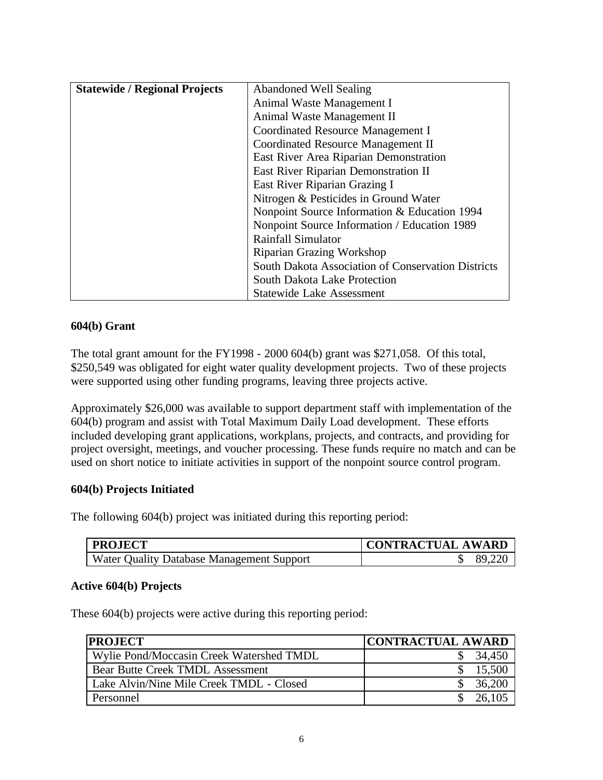| <b>Statewide / Regional Projects</b> | <b>Abandoned Well Sealing</b>                      |  |
|--------------------------------------|----------------------------------------------------|--|
|                                      | Animal Waste Management I                          |  |
|                                      | Animal Waste Management II                         |  |
|                                      | Coordinated Resource Management I                  |  |
|                                      | Coordinated Resource Management II                 |  |
|                                      | East River Area Riparian Demonstration             |  |
|                                      | East River Riparian Demonstration II               |  |
|                                      | East River Riparian Grazing I                      |  |
|                                      | Nitrogen & Pesticides in Ground Water              |  |
|                                      | Nonpoint Source Information & Education 1994       |  |
|                                      | Nonpoint Source Information / Education 1989       |  |
|                                      | <b>Rainfall Simulator</b>                          |  |
|                                      | <b>Riparian Grazing Workshop</b>                   |  |
|                                      | South Dakota Association of Conservation Districts |  |
|                                      | South Dakota Lake Protection                       |  |
|                                      | <b>Statewide Lake Assessment</b>                   |  |

## **604(b) Grant**

The total grant amount for the FY1998 - 2000 604(b) grant was \$271,058. Of this total, \$250,549 was obligated for eight water quality development projects. Two of these projects were supported using other funding programs, leaving three projects active.

Approximately \$26,000 was available to support department staff with implementation of the 604(b) program and assist with Total Maximum Daily Load development. These efforts included developing grant applications, workplans, projects, and contracts, and providing for project oversight, meetings, and voucher processing. These funds require no match and can be used on short notice to initiate activities in support of the nonpoint source control program.

### **604(b) Projects Initiated**

The following 604(b) project was initiated during this reporting period:

| <b>PROJECT</b>                            | CONTRACTUAL AWARD |
|-------------------------------------------|-------------------|
| Water Quality Database Management Support | 89,220            |

### **Active 604(b) Projects**

These 604(b) projects were active during this reporting period:

| <b>PROJECT</b>                           | <b>CONTRACTUAL AWARD</b> |
|------------------------------------------|--------------------------|
| Wylie Pond/Moccasin Creek Watershed TMDL | 34,450                   |
| <b>Bear Butte Creek TMDL Assessment</b>  | 15,500                   |
| Lake Alvin/Nine Mile Creek TMDL - Closed | 36,200                   |
| Personnel                                | 26,105                   |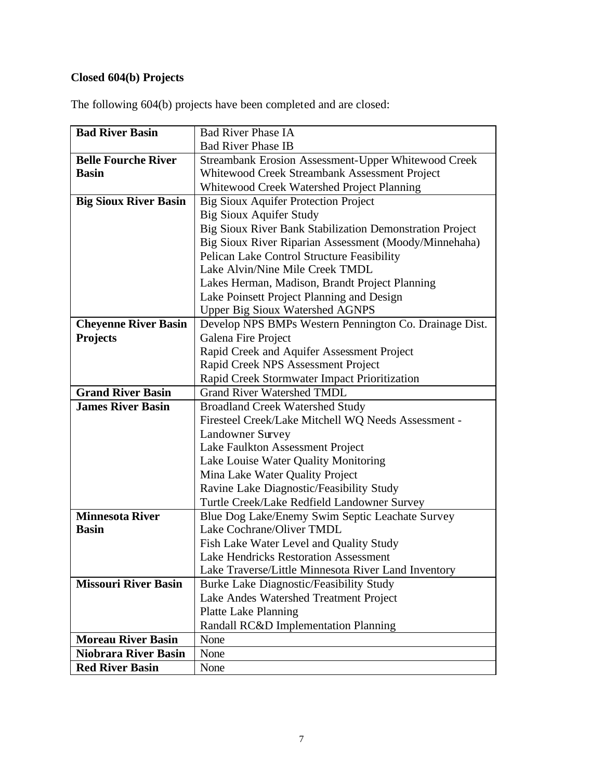## **Closed 604(b) Projects**

| <b>Bad River Basin</b>       | <b>Bad River Phase IA</b>                                |
|------------------------------|----------------------------------------------------------|
|                              | <b>Bad River Phase IB</b>                                |
| <b>Belle Fourche River</b>   | Streambank Erosion Assessment-Upper Whitewood Creek      |
| <b>Basin</b>                 | Whitewood Creek Streambank Assessment Project            |
|                              | Whitewood Creek Watershed Project Planning               |
| <b>Big Sioux River Basin</b> | <b>Big Sioux Aquifer Protection Project</b>              |
|                              | <b>Big Sioux Aquifer Study</b>                           |
|                              | Big Sioux River Bank Stabilization Demonstration Project |
|                              | Big Sioux River Riparian Assessment (Moody/Minnehaha)    |
|                              | Pelican Lake Control Structure Feasibility               |
|                              | Lake Alvin/Nine Mile Creek TMDL                          |
|                              | Lakes Herman, Madison, Brandt Project Planning           |
|                              | Lake Poinsett Project Planning and Design                |
|                              | <b>Upper Big Sioux Watershed AGNPS</b>                   |
| <b>Cheyenne River Basin</b>  | Develop NPS BMPs Western Pennington Co. Drainage Dist.   |
| <b>Projects</b>              | <b>Galena Fire Project</b>                               |
|                              | Rapid Creek and Aquifer Assessment Project               |
|                              | Rapid Creek NPS Assessment Project                       |
|                              | Rapid Creek Stormwater Impact Prioritization             |
| <b>Grand River Basin</b>     | <b>Grand River Watershed TMDL</b>                        |
| <b>James River Basin</b>     | <b>Broadland Creek Watershed Study</b>                   |
|                              | Firesteel Creek/Lake Mitchell WQ Needs Assessment -      |
|                              | <b>Landowner Survey</b>                                  |
|                              | Lake Faulkton Assessment Project                         |
|                              | Lake Louise Water Quality Monitoring                     |
|                              | Mina Lake Water Quality Project                          |
|                              | Ravine Lake Diagnostic/Feasibility Study                 |
|                              | Turtle Creek/Lake Redfield Landowner Survey              |
| <b>Minnesota River</b>       | Blue Dog Lake/Enemy Swim Septic Leachate Survey          |
| <b>Basin</b>                 | Lake Cochrane/Oliver TMDL                                |
|                              | Fish Lake Water Level and Quality Study                  |
|                              | <b>Lake Hendricks Restoration Assessment</b>             |
|                              | Lake Traverse/Little Minnesota River Land Inventory      |
| <b>Missouri River Basin</b>  | <b>Burke Lake Diagnostic/Feasibility Study</b>           |
|                              | Lake Andes Watershed Treatment Project                   |
|                              | <b>Platte Lake Planning</b>                              |
|                              | Randall RC&D Implementation Planning                     |
| <b>Moreau River Basin</b>    | None                                                     |
| Niobrara River Basin         | None                                                     |
| <b>Red River Basin</b>       | None                                                     |

The following 604(b) projects have been completed and are closed: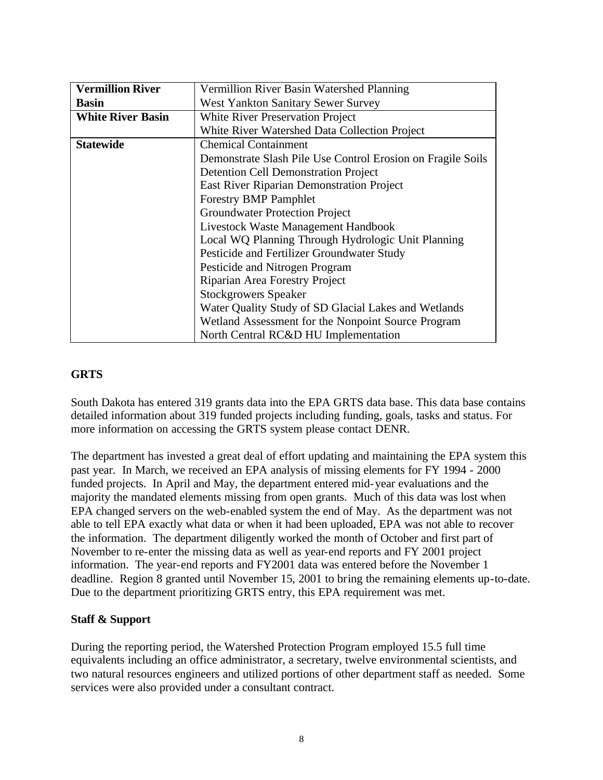| <b>Vermillion River</b>  | Vermillion River Basin Watershed Planning                   |  |
|--------------------------|-------------------------------------------------------------|--|
| <b>Basin</b>             | <b>West Yankton Sanitary Sewer Survey</b>                   |  |
| <b>White River Basin</b> | <b>White River Preservation Project</b>                     |  |
|                          | White River Watershed Data Collection Project               |  |
| <b>Statewide</b>         | <b>Chemical Containment</b>                                 |  |
|                          | Demonstrate Slash Pile Use Control Erosion on Fragile Soils |  |
|                          | <b>Detention Cell Demonstration Project</b>                 |  |
|                          | East River Riparian Demonstration Project                   |  |
|                          | <b>Forestry BMP Pamphlet</b>                                |  |
|                          | <b>Groundwater Protection Project</b>                       |  |
|                          | Livestock Waste Management Handbook                         |  |
|                          | Local WQ Planning Through Hydrologic Unit Planning          |  |
|                          | Pesticide and Fertilizer Groundwater Study                  |  |
|                          | Pesticide and Nitrogen Program                              |  |
|                          | Riparian Area Forestry Project                              |  |
|                          | <b>Stockgrowers Speaker</b>                                 |  |
|                          | Water Quality Study of SD Glacial Lakes and Wetlands        |  |
|                          | Wetland Assessment for the Nonpoint Source Program          |  |
|                          | North Central RC&D HU Implementation                        |  |

## **GRTS**

South Dakota has entered 319 grants data into the EPA GRTS data base. This data base contains detailed information about 319 funded projects including funding, goals, tasks and status. For more information on accessing the GRTS system please contact DENR.

The department has invested a great deal of effort updating and maintaining the EPA system this past year. In March, we received an EPA analysis of missing elements for FY 1994 - 2000 funded projects. In April and May, the department entered mid-year evaluations and the majority the mandated elements missing from open grants. Much of this data was lost when EPA changed servers on the web-enabled system the end of May. As the department was not able to tell EPA exactly what data or when it had been uploaded, EPA was not able to recover the information. The department diligently worked the month of October and first part of November to re-enter the missing data as well as year-end reports and FY 2001 project information. The year-end reports and FY2001 data was entered before the November 1 deadline. Region 8 granted until November 15, 2001 to bring the remaining elements up-to-date. Due to the department prioritizing GRTS entry, this EPA requirement was met.

### **Staff & Support**

During the reporting period, the Watershed Protection Program employed 15.5 full time equivalents including an office administrator, a secretary, twelve environmental scientists, and two natural resources engineers and utilized portions of other department staff as needed. Some services were also provided under a consultant contract.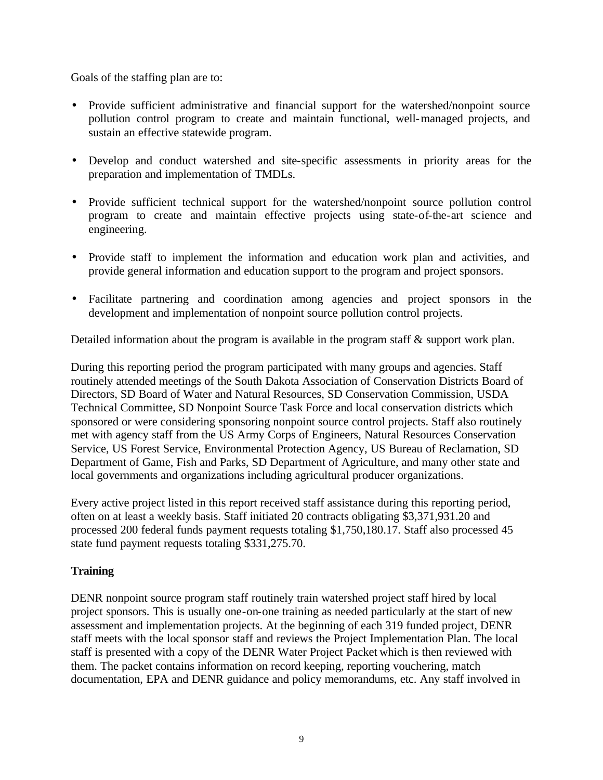Goals of the staffing plan are to:

- Provide sufficient administrative and financial support for the watershed/nonpoint source pollution control program to create and maintain functional, well-managed projects, and sustain an effective statewide program.
- Develop and conduct watershed and site-specific assessments in priority areas for the preparation and implementation of TMDLs.
- Provide sufficient technical support for the watershed/nonpoint source pollution control program to create and maintain effective projects using state-of-the-art science and engineering.
- Provide staff to implement the information and education work plan and activities, and provide general information and education support to the program and project sponsors.
- Facilitate partnering and coordination among agencies and project sponsors in the development and implementation of nonpoint source pollution control projects.

Detailed information about the program is available in the program staff & support work plan.

During this reporting period the program participated with many groups and agencies. Staff routinely attended meetings of the South Dakota Association of Conservation Districts Board of Directors, SD Board of Water and Natural Resources, SD Conservation Commission, USDA Technical Committee, SD Nonpoint Source Task Force and local conservation districts which sponsored or were considering sponsoring nonpoint source control projects. Staff also routinely met with agency staff from the US Army Corps of Engineers, Natural Resources Conservation Service, US Forest Service, Environmental Protection Agency, US Bureau of Reclamation, SD Department of Game, Fish and Parks, SD Department of Agriculture, and many other state and local governments and organizations including agricultural producer organizations.

Every active project listed in this report received staff assistance during this reporting period, often on at least a weekly basis. Staff initiated 20 contracts obligating \$3,371,931.20 and processed 200 federal funds payment requests totaling \$1,750,180.17. Staff also processed 45 state fund payment requests totaling \$331,275.70.

## **Training**

DENR nonpoint source program staff routinely train watershed project staff hired by local project sponsors. This is usually one-on-one training as needed particularly at the start of new assessment and implementation projects. At the beginning of each 319 funded project, DENR staff meets with the local sponsor staff and reviews the Project Implementation Plan. The local staff is presented with a copy of the DENR Water Project Packet which is then reviewed with them. The packet contains information on record keeping, reporting vouchering, match documentation, EPA and DENR guidance and policy memorandums, etc. Any staff involved in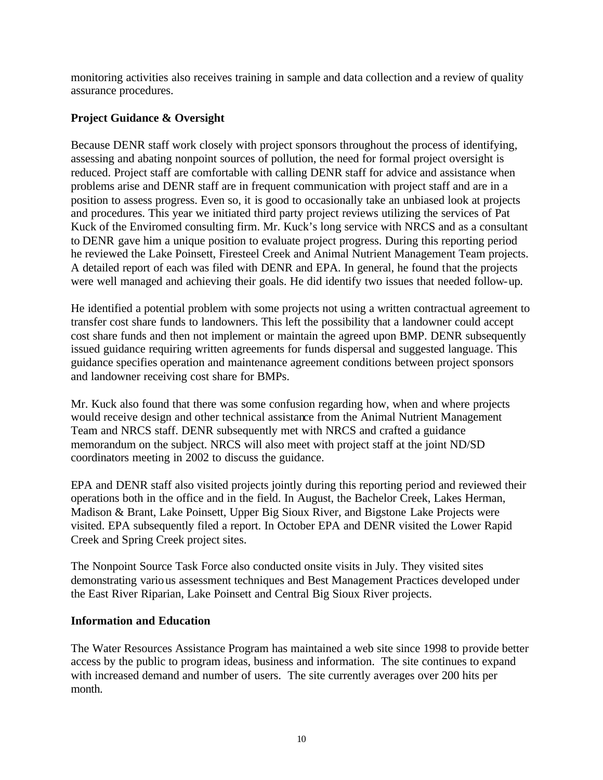monitoring activities also receives training in sample and data collection and a review of quality assurance procedures.

## **Project Guidance & Oversight**

Because DENR staff work closely with project sponsors throughout the process of identifying, assessing and abating nonpoint sources of pollution, the need for formal project oversight is reduced. Project staff are comfortable with calling DENR staff for advice and assistance when problems arise and DENR staff are in frequent communication with project staff and are in a position to assess progress. Even so, it is good to occasionally take an unbiased look at projects and procedures. This year we initiated third party project reviews utilizing the services of Pat Kuck of the Enviromed consulting firm. Mr. Kuck's long service with NRCS and as a consultant to DENR gave him a unique position to evaluate project progress. During this reporting period he reviewed the Lake Poinsett, Firesteel Creek and Animal Nutrient Management Team projects. A detailed report of each was filed with DENR and EPA. In general, he found that the projects were well managed and achieving their goals. He did identify two issues that needed follow-up.

He identified a potential problem with some projects not using a written contractual agreement to transfer cost share funds to landowners. This left the possibility that a landowner could accept cost share funds and then not implement or maintain the agreed upon BMP. DENR subsequently issued guidance requiring written agreements for funds dispersal and suggested language. This guidance specifies operation and maintenance agreement conditions between project sponsors and landowner receiving cost share for BMPs.

Mr. Kuck also found that there was some confusion regarding how, when and where projects would receive design and other technical assistance from the Animal Nutrient Management Team and NRCS staff. DENR subsequently met with NRCS and crafted a guidance memorandum on the subject. NRCS will also meet with project staff at the joint ND/SD coordinators meeting in 2002 to discuss the guidance.

EPA and DENR staff also visited projects jointly during this reporting period and reviewed their operations both in the office and in the field. In August, the Bachelor Creek, Lakes Herman, Madison & Brant, Lake Poinsett, Upper Big Sioux River, and Bigstone Lake Projects were visited. EPA subsequently filed a report. In October EPA and DENR visited the Lower Rapid Creek and Spring Creek project sites.

The Nonpoint Source Task Force also conducted onsite visits in July. They visited sites demonstrating various assessment techniques and Best Management Practices developed under the East River Riparian, Lake Poinsett and Central Big Sioux River projects.

### **Information and Education**

The Water Resources Assistance Program has maintained a web site since 1998 to provide better access by the public to program ideas, business and information. The site continues to expand with increased demand and number of users. The site currently averages over 200 hits per month.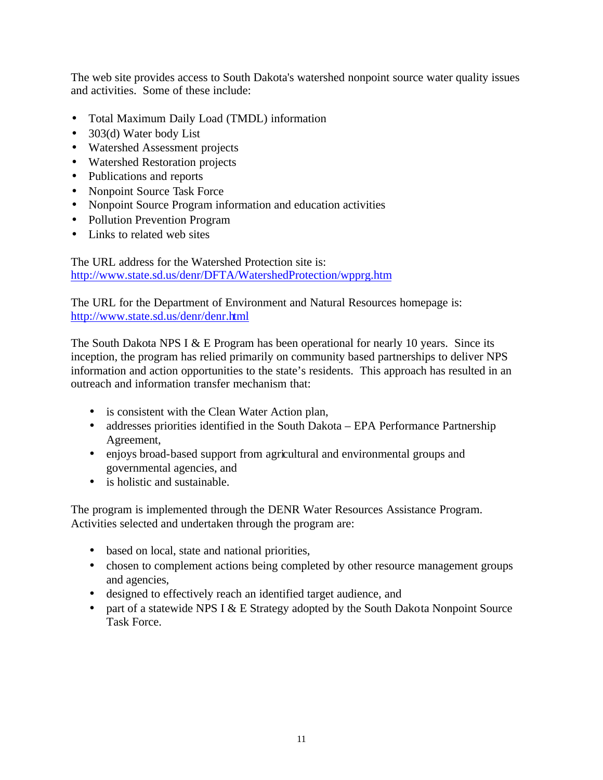The web site provides access to South Dakota's watershed nonpoint source water quality issues and activities. Some of these include:

- Total Maximum Daily Load (TMDL) information
- 303(d) Water body List
- Watershed Assessment projects
- Watershed Restoration projects
- Publications and reports
- Nonpoint Source Task Force
- Nonpoint Source Program information and education activities
- Pollution Prevention Program
- Links to related web sites

The URL address for the Watershed Protection site is: http://www.state.sd.us/denr/DFTA/WatershedProtection/wpprg.htm

The URL for the Department of Environment and Natural Resources homepage is: http://www.state.sd.us/denr/denr.html

The South Dakota NPS I & E Program has been operational for nearly 10 years. Since its inception, the program has relied primarily on community based partnerships to deliver NPS information and action opportunities to the state's residents. This approach has resulted in an outreach and information transfer mechanism that:

- is consistent with the Clean Water Action plan,
- addresses priorities identified in the South Dakota EPA Performance Partnership Agreement,
- enjoys broad-based support from agricultural and environmental groups and governmental agencies, and
- is holistic and sustainable.

The program is implemented through the DENR Water Resources Assistance Program. Activities selected and undertaken through the program are:

- based on local, state and national priorities,
- chosen to complement actions being completed by other resource management groups and agencies,
- designed to effectively reach an identified target audience, and
- part of a statewide NPS I & E Strategy adopted by the South Dakota Nonpoint Source Task Force.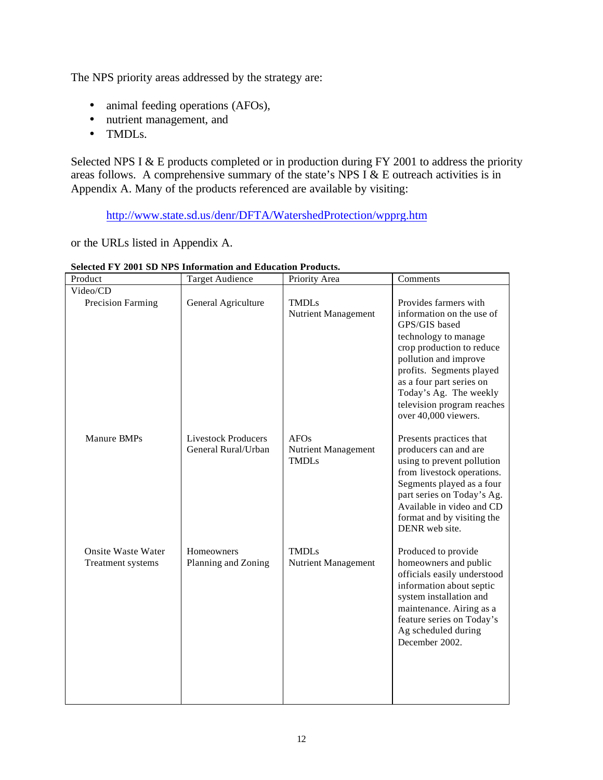The NPS priority areas addressed by the strategy are:

- animal feeding operations (AFOs),
- nutrient management, and
- TMDLs.

Selected NPS I & E products completed or in production during FY 2001 to address the priority areas follows. A comprehensive summary of the state's NPS I  $\&$  E outreach activities is in Appendix A. Many of the products referenced are available by visiting:

http://www.state.sd.us/denr/DFTA/WatershedProtection/wpprg.htm

or the URLs listed in Appendix A.

| Product                                        | <b>Target Audience</b>                            | Priority Area                                      | Comments                                                                                                                                                                                                                                                                                  |
|------------------------------------------------|---------------------------------------------------|----------------------------------------------------|-------------------------------------------------------------------------------------------------------------------------------------------------------------------------------------------------------------------------------------------------------------------------------------------|
| Video/CD                                       |                                                   |                                                    |                                                                                                                                                                                                                                                                                           |
| <b>Precision Farming</b>                       | General Agriculture                               | <b>TMDLs</b><br>Nutrient Management                | Provides farmers with<br>information on the use of<br>GPS/GIS based<br>technology to manage<br>crop production to reduce<br>pollution and improve<br>profits. Segments played<br>as a four part series on<br>Today's Ag. The weekly<br>television program reaches<br>over 40,000 viewers. |
| Manure BMPs                                    | <b>Livestock Producers</b><br>General Rural/Urban | <b>AFOs</b><br>Nutrient Management<br><b>TMDLs</b> | Presents practices that<br>producers can and are<br>using to prevent pollution<br>from livestock operations.<br>Segments played as a four<br>part series on Today's Ag.<br>Available in video and CD<br>format and by visiting the<br>DENR web site.                                      |
| <b>Onsite Waste Water</b><br>Treatment systems | Homeowners<br>Planning and Zoning                 | <b>TMDLs</b><br>Nutrient Management                | Produced to provide<br>homeowners and public<br>officials easily understood<br>information about septic<br>system installation and<br>maintenance. Airing as a<br>feature series on Today's<br>Ag scheduled during<br>December 2002.                                                      |

#### **Selected FY 2001 SD NPS Information and Education Products.**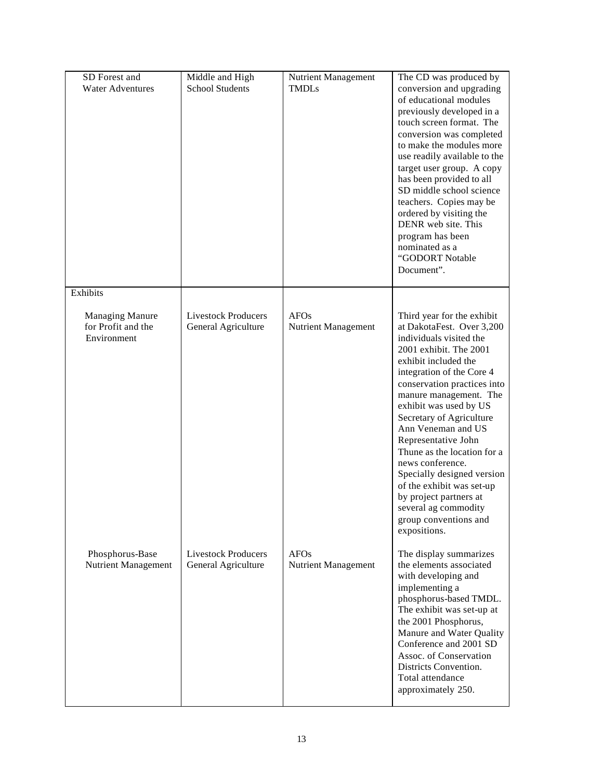| SD Forest and<br><b>Water Adventures</b>                    | Middle and High<br><b>School Students</b>         | Nutrient Management<br><b>TMDLs</b>       | The CD was produced by<br>conversion and upgrading<br>of educational modules<br>previously developed in a<br>touch screen format. The<br>conversion was completed<br>to make the modules more<br>use readily available to the<br>target user group. A copy<br>has been provided to all<br>SD middle school science<br>teachers. Copies may be<br>ordered by visiting the<br>DENR web site. This<br>program has been<br>nominated as a<br>"GODORT Notable<br>Document".                                                                 |
|-------------------------------------------------------------|---------------------------------------------------|-------------------------------------------|----------------------------------------------------------------------------------------------------------------------------------------------------------------------------------------------------------------------------------------------------------------------------------------------------------------------------------------------------------------------------------------------------------------------------------------------------------------------------------------------------------------------------------------|
| Exhibits                                                    |                                                   |                                           |                                                                                                                                                                                                                                                                                                                                                                                                                                                                                                                                        |
| <b>Managing Manure</b><br>for Profit and the<br>Environment | <b>Livestock Producers</b><br>General Agriculture | <b>AFOs</b><br><b>Nutrient Management</b> | Third year for the exhibit<br>at DakotaFest. Over 3,200<br>individuals visited the<br>2001 exhibit. The 2001<br>exhibit included the<br>integration of the Core 4<br>conservation practices into<br>manure management. The<br>exhibit was used by US<br>Secretary of Agriculture<br>Ann Veneman and US<br>Representative John<br>Thune as the location for a<br>news conference.<br>Specially designed version<br>of the exhibit was set-up<br>by project partners at<br>several ag commodity<br>group conventions and<br>expositions. |
| Phosphorus-Base<br>Nutrient Management                      | <b>Livestock Producers</b><br>General Agriculture | <b>AFOs</b><br>Nutrient Management        | The display summarizes<br>the elements associated<br>with developing and<br>implementing a<br>phosphorus-based TMDL.<br>The exhibit was set-up at<br>the 2001 Phosphorus,<br>Manure and Water Quality<br>Conference and 2001 SD<br>Assoc. of Conservation<br>Districts Convention.<br>Total attendance<br>approximately 250.                                                                                                                                                                                                           |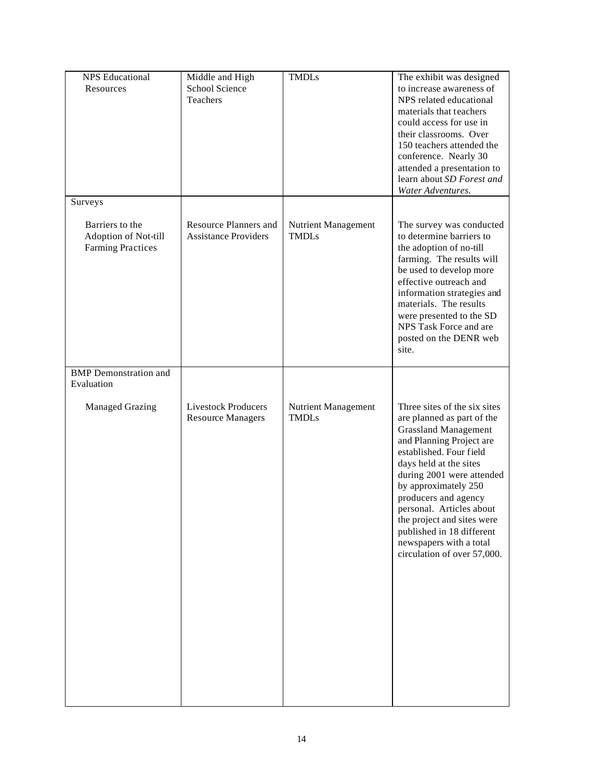| <b>NPS</b> Educational<br>Resources                                 | Middle and High<br>School Science<br>Teachers               | <b>TMDLs</b>                        | The exhibit was designed<br>to increase awareness of<br>NPS related educational<br>materials that teachers<br>could access for use in<br>their classrooms. Over<br>150 teachers attended the<br>conference. Nearly 30<br>attended a presentation to<br>learn about SD Forest and<br>Water Adventures.                                                                                                    |
|---------------------------------------------------------------------|-------------------------------------------------------------|-------------------------------------|----------------------------------------------------------------------------------------------------------------------------------------------------------------------------------------------------------------------------------------------------------------------------------------------------------------------------------------------------------------------------------------------------------|
| Surveys                                                             |                                                             |                                     |                                                                                                                                                                                                                                                                                                                                                                                                          |
| Barriers to the<br>Adoption of Not-till<br><b>Farming Practices</b> | <b>Resource Planners and</b><br><b>Assistance Providers</b> | Nutrient Management<br><b>TMDLs</b> | The survey was conducted<br>to determine barriers to<br>the adoption of no-till<br>farming. The results will<br>be used to develop more<br>effective outreach and<br>information strategies and<br>materials. The results<br>were presented to the SD<br>NPS Task Force and are<br>posted on the DENR web<br>site.                                                                                       |
| <b>BMP</b> Demonstration and<br>Evaluation                          |                                                             |                                     |                                                                                                                                                                                                                                                                                                                                                                                                          |
| <b>Managed Grazing</b>                                              | <b>Livestock Producers</b><br><b>Resource Managers</b>      | Nutrient Management<br><b>TMDLs</b> | Three sites of the six sites<br>are planned as part of the<br><b>Grassland Management</b><br>and Planning Project are<br>established. Four field<br>days held at the sites<br>during 2001 were attended<br>by approximately 250<br>producers and agency<br>personal. Articles about<br>the project and sites were<br>published in 18 different<br>newspapers with a total<br>circulation of over 57,000. |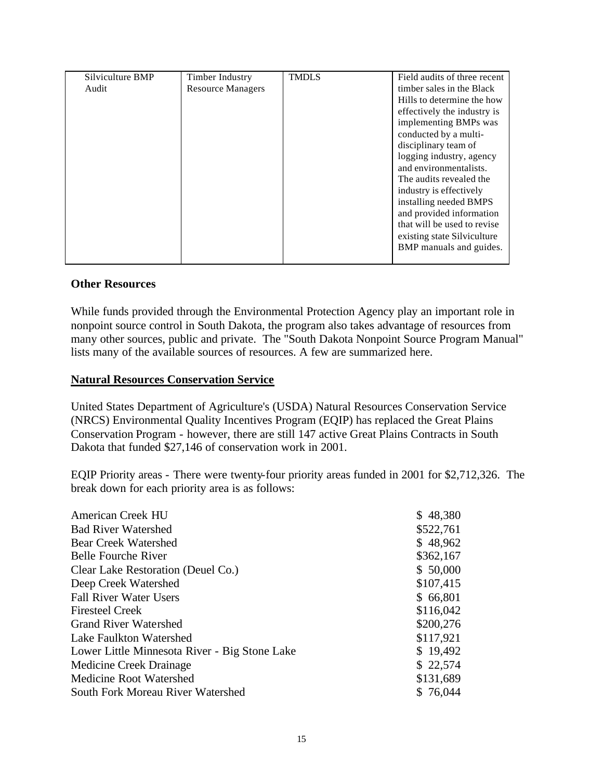| Silviculture BMP | Timber Industry          | <b>TMDLS</b> | Field audits of three recent |
|------------------|--------------------------|--------------|------------------------------|
| Audit            | <b>Resource Managers</b> |              | timber sales in the Black    |
|                  |                          |              | Hills to determine the how   |
|                  |                          |              | effectively the industry is  |
|                  |                          |              | implementing BMPs was        |
|                  |                          |              | conducted by a multi-        |
|                  |                          |              | disciplinary team of         |
|                  |                          |              | logging industry, agency     |
|                  |                          |              | and environmentalists.       |
|                  |                          |              | The audits revealed the      |
|                  |                          |              | industry is effectively      |
|                  |                          |              | installing needed BMPS       |
|                  |                          |              | and provided information     |
|                  |                          |              | that will be used to revise  |
|                  |                          |              | existing state Silviculture  |
|                  |                          |              | BMP manuals and guides.      |
|                  |                          |              |                              |

### **Other Resources**

While funds provided through the Environmental Protection Agency play an important role in nonpoint source control in South Dakota, the program also takes advantage of resources from many other sources, public and private. The "South Dakota Nonpoint Source Program Manual" lists many of the available sources of resources. A few are summarized here.

#### **Natural Resources Conservation Service**

United States Department of Agriculture's (USDA) Natural Resources Conservation Service (NRCS) Environmental Quality Incentives Program (EQIP) has replaced the Great Plains Conservation Program - however, there are still 147 active Great Plains Contracts in South Dakota that funded \$27,146 of conservation work in 2001.

EQIP Priority areas - There were twenty-four priority areas funded in 2001 for \$2,712,326. The break down for each priority area is as follows:

| <b>American Creek HU</b>                      | \$48,380  |
|-----------------------------------------------|-----------|
| <b>Bad River Watershed</b>                    | \$522,761 |
| <b>Bear Creek Watershed</b>                   | \$48,962  |
| <b>Belle Fourche River</b>                    | \$362,167 |
| Clear Lake Restoration (Deuel Co.)            | \$50,000  |
| Deep Creek Watershed                          | \$107,415 |
| <b>Fall River Water Users</b>                 | \$66,801  |
| <b>Firesteel Creek</b>                        | \$116,042 |
| <b>Grand River Watershed</b>                  | \$200,276 |
| Lake Faulkton Watershed                       | \$117,921 |
| Lower Little Minnesota River - Big Stone Lake | \$19,492  |
| Medicine Creek Drainage                       | \$22,574  |
| Medicine Root Watershed                       | \$131,689 |
| South Fork Moreau River Watershed             | \$76,044  |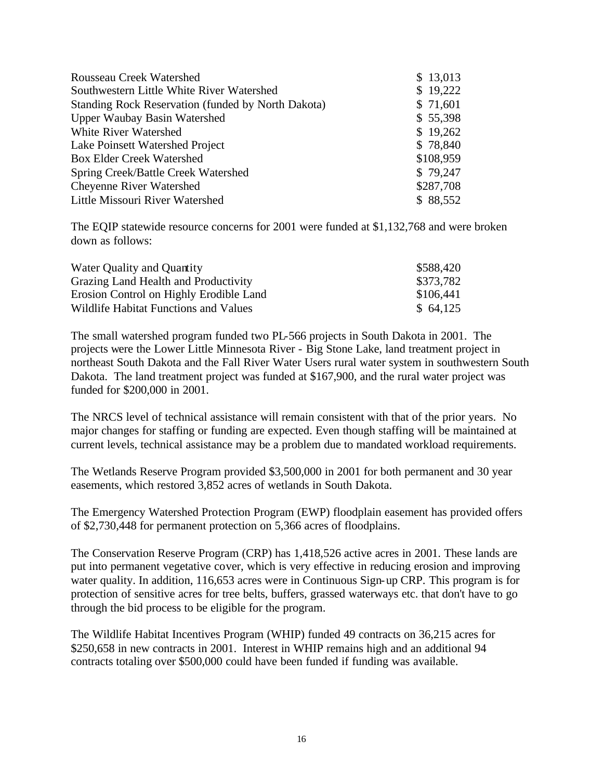| \$13,013  |
|-----------|
| \$19,222  |
| \$71,601  |
| \$55,398  |
| \$19,262  |
| \$78,840  |
| \$108,959 |
| \$79,247  |
| \$287,708 |
| \$88,552  |
|           |

The EQIP statewide resource concerns for 2001 were funded at \$1,132,768 and were broken down as follows:

| Water Quality and Quantity              | \$588,420 |
|-----------------------------------------|-----------|
| Grazing Land Health and Productivity    | \$373,782 |
| Erosion Control on Highly Erodible Land | \$106,441 |
| Wildlife Habitat Functions and Values   | \$64,125  |

The small watershed program funded two PL-566 projects in South Dakota in 2001. The projects were the Lower Little Minnesota River - Big Stone Lake, land treatment project in northeast South Dakota and the Fall River Water Users rural water system in southwestern South Dakota. The land treatment project was funded at \$167,900, and the rural water project was funded for \$200,000 in 2001.

The NRCS level of technical assistance will remain consistent with that of the prior years. No major changes for staffing or funding are expected. Even though staffing will be maintained at current levels, technical assistance may be a problem due to mandated workload requirements.

The Wetlands Reserve Program provided \$3,500,000 in 2001 for both permanent and 30 year easements, which restored 3,852 acres of wetlands in South Dakota.

The Emergency Watershed Protection Program (EWP) floodplain easement has provided offers of \$2,730,448 for permanent protection on 5,366 acres of floodplains.

The Conservation Reserve Program (CRP) has 1,418,526 active acres in 2001. These lands are put into permanent vegetative cover, which is very effective in reducing erosion and improving water quality. In addition, 116,653 acres were in Continuous Sign-up CRP. This program is for protection of sensitive acres for tree belts, buffers, grassed waterways etc. that don't have to go through the bid process to be eligible for the program.

The Wildlife Habitat Incentives Program (WHIP) funded 49 contracts on 36,215 acres for \$250,658 in new contracts in 2001. Interest in WHIP remains high and an additional 94 contracts totaling over \$500,000 could have been funded if funding was available.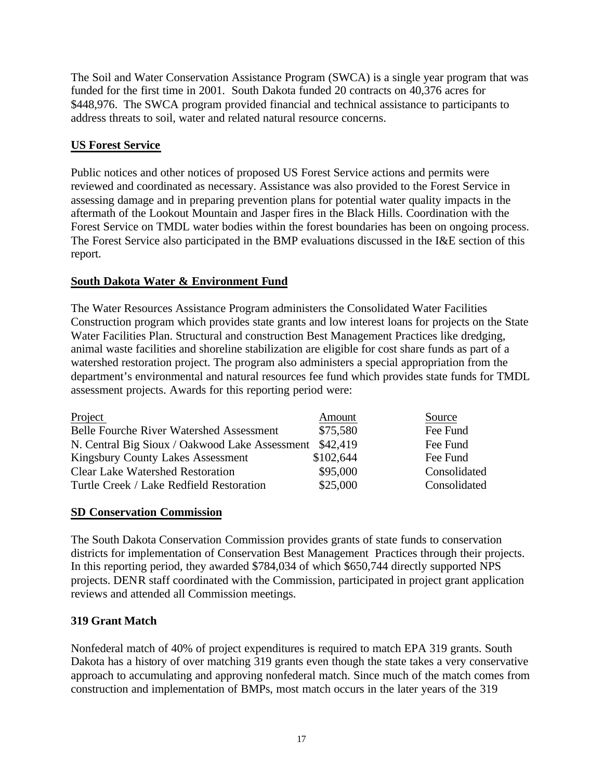The Soil and Water Conservation Assistance Program (SWCA) is a single year program that was funded for the first time in 2001. South Dakota funded 20 contracts on 40,376 acres for \$448,976. The SWCA program provided financial and technical assistance to participants to address threats to soil, water and related natural resource concerns.

## **US Forest Service**

Public notices and other notices of proposed US Forest Service actions and permits were reviewed and coordinated as necessary. Assistance was also provided to the Forest Service in assessing damage and in preparing prevention plans for potential water quality impacts in the aftermath of the Lookout Mountain and Jasper fires in the Black Hills. Coordination with the Forest Service on TMDL water bodies within the forest boundaries has been on ongoing process. The Forest Service also participated in the BMP evaluations discussed in the I&E section of this report.

## **South Dakota Water & Environment Fund**

The Water Resources Assistance Program administers the Consolidated Water Facilities Construction program which provides state grants and low interest loans for projects on the State Water Facilities Plan. Structural and construction Best Management Practices like dredging, animal waste facilities and shoreline stabilization are eligible for cost share funds as part of a watershed restoration project. The program also administers a special appropriation from the department's environmental and natural resources fee fund which provides state funds for TMDL assessment projects. Awards for this reporting period were:

| Project                                         | Amount    | Source       |
|-------------------------------------------------|-----------|--------------|
| <b>Belle Fourche River Watershed Assessment</b> | \$75,580  | Fee Fund     |
| N. Central Big Sioux / Oakwood Lake Assessment  | \$42,419  | Fee Fund     |
| Kingsbury County Lakes Assessment               | \$102,644 | Fee Fund     |
| <b>Clear Lake Watershed Restoration</b>         | \$95,000  | Consolidated |
| Turtle Creek / Lake Redfield Restoration        | \$25,000  | Consolidated |

## **SD Conservation Commission**

The South Dakota Conservation Commission provides grants of state funds to conservation districts for implementation of Conservation Best Management Practices through their projects. In this reporting period, they awarded \$784,034 of which \$650,744 directly supported NPS projects. DENR staff coordinated with the Commission, participated in project grant application reviews and attended all Commission meetings.

## **319 Grant Match**

Nonfederal match of 40% of project expenditures is required to match EPA 319 grants. South Dakota has a history of over matching 319 grants even though the state takes a very conservative approach to accumulating and approving nonfederal match. Since much of the match comes from construction and implementation of BMPs, most match occurs in the later years of the 319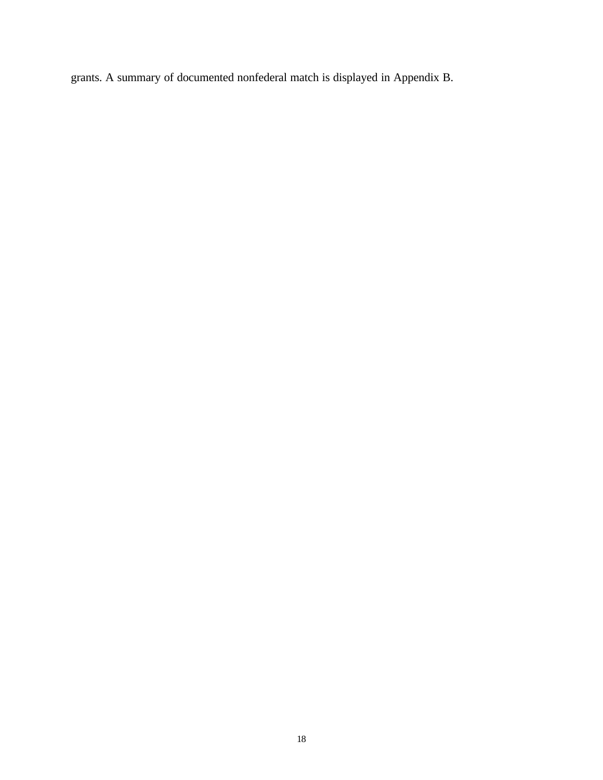grants. A summary of documented nonfederal match is displayed in Appendix B.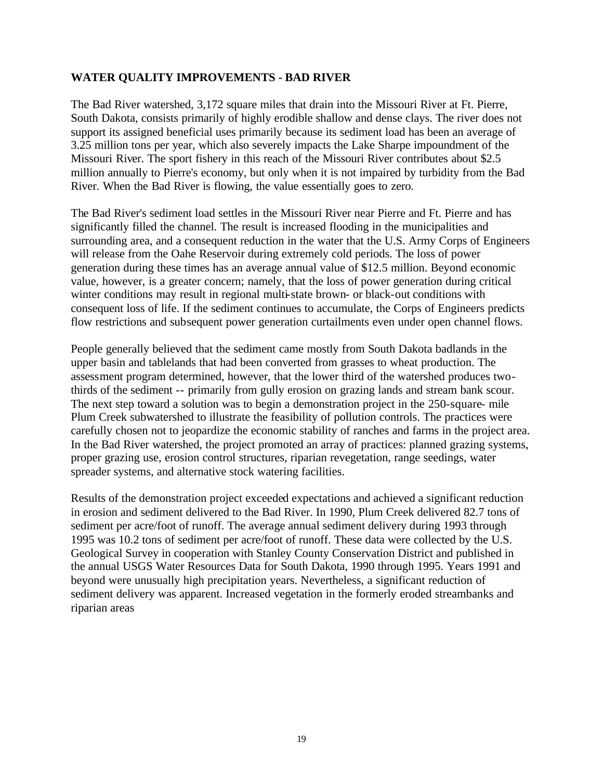#### **WATER QUALITY IMPROVEMENTS - BAD RIVER**

The Bad River watershed, 3,172 square miles that drain into the Missouri River at Ft. Pierre, South Dakota, consists primarily of highly erodible shallow and dense clays. The river does not support its assigned beneficial uses primarily because its sediment load has been an average of 3.25 million tons per year, which also severely impacts the Lake Sharpe impoundment of the Missouri River. The sport fishery in this reach of the Missouri River contributes about \$2.5 million annually to Pierre's economy, but only when it is not impaired by turbidity from the Bad River. When the Bad River is flowing, the value essentially goes to zero.

The Bad River's sediment load settles in the Missouri River near Pierre and Ft. Pierre and has significantly filled the channel. The result is increased flooding in the municipalities and surrounding area, and a consequent reduction in the water that the U.S. Army Corps of Engineers will release from the Oahe Reservoir during extremely cold periods. The loss of power generation during these times has an average annual value of \$12.5 million. Beyond economic value, however, is a greater concern; namely, that the loss of power generation during critical winter conditions may result in regional multi-state brown- or black-out conditions with consequent loss of life. If the sediment continues to accumulate, the Corps of Engineers predicts flow restrictions and subsequent power generation curtailments even under open channel flows.

People generally believed that the sediment came mostly from South Dakota badlands in the upper basin and tablelands that had been converted from grasses to wheat production. The assessment program determined, however, that the lower third of the watershed produces twothirds of the sediment -- primarily from gully erosion on grazing lands and stream bank scour. The next step toward a solution was to begin a demonstration project in the 250-square- mile Plum Creek subwatershed to illustrate the feasibility of pollution controls. The practices were carefully chosen not to jeopardize the economic stability of ranches and farms in the project area. In the Bad River watershed, the project promoted an array of practices: planned grazing systems, proper grazing use, erosion control structures, riparian revegetation, range seedings, water spreader systems, and alternative stock watering facilities.

Results of the demonstration project exceeded expectations and achieved a significant reduction in erosion and sediment delivered to the Bad River. In 1990, Plum Creek delivered 82.7 tons of sediment per acre/foot of runoff. The average annual sediment delivery during 1993 through 1995 was 10.2 tons of sediment per acre/foot of runoff. These data were collected by the U.S. Geological Survey in cooperation with Stanley County Conservation District and published in the annual USGS Water Resources Data for South Dakota, 1990 through 1995. Years 1991 and beyond were unusually high precipitation years. Nevertheless, a significant reduction of sediment delivery was apparent. Increased vegetation in the formerly eroded streambanks and riparian areas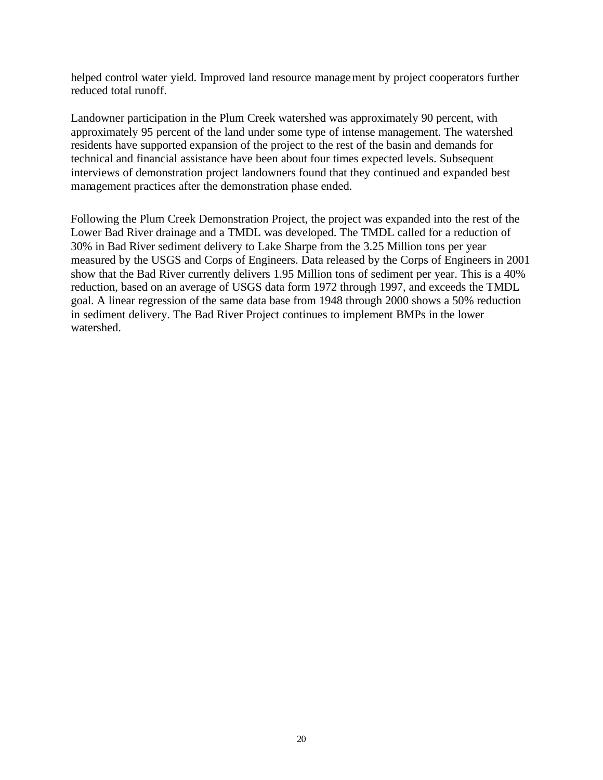helped control water yield. Improved land resource management by project cooperators further reduced total runoff.

Landowner participation in the Plum Creek watershed was approximately 90 percent, with approximately 95 percent of the land under some type of intense management. The watershed residents have supported expansion of the project to the rest of the basin and demands for technical and financial assistance have been about four times expected levels. Subsequent interviews of demonstration project landowners found that they continued and expanded best management practices after the demonstration phase ended.

Following the Plum Creek Demonstration Project, the project was expanded into the rest of the Lower Bad River drainage and a TMDL was developed. The TMDL called for a reduction of 30% in Bad River sediment delivery to Lake Sharpe from the 3.25 Million tons per year measured by the USGS and Corps of Engineers. Data released by the Corps of Engineers in 2001 show that the Bad River currently delivers 1.95 Million tons of sediment per year. This is a 40% reduction, based on an average of USGS data form 1972 through 1997, and exceeds the TMDL goal. A linear regression of the same data base from 1948 through 2000 shows a 50% reduction in sediment delivery. The Bad River Project continues to implement BMPs in the lower watershed.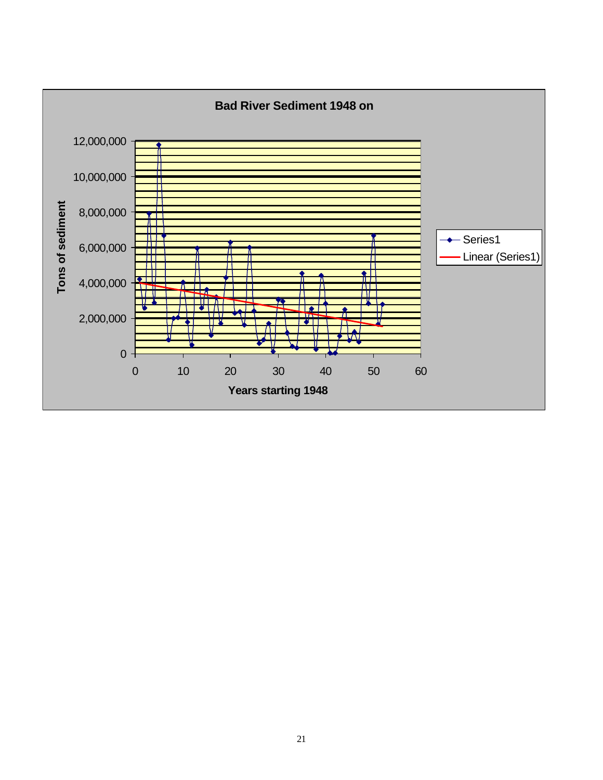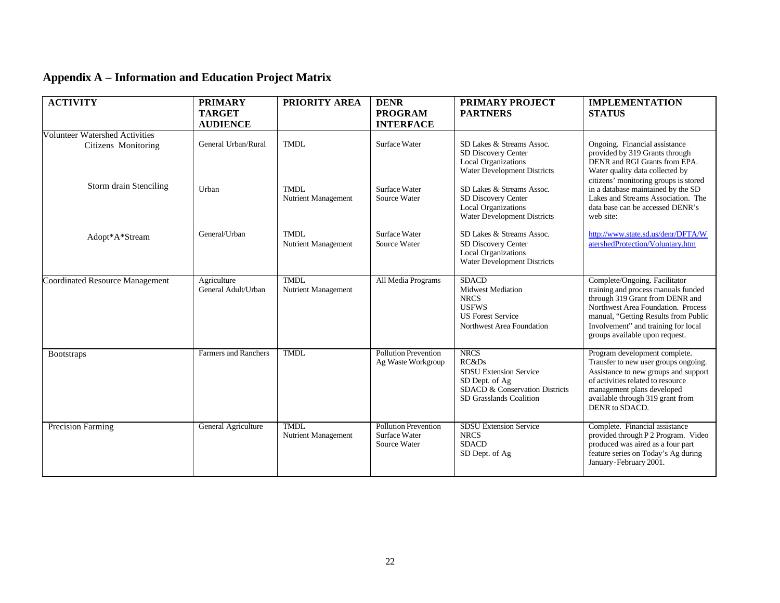## **Appendix A – Information and Education Project Matrix**

| <b>ACTIVITY</b>                                              | <b>PRIMARY</b><br><b>TARGET</b>    | PRIORITY AREA                      | <b>DENR</b><br><b>PROGRAM</b>                                       | <b>PRIMARY PROJECT</b><br><b>PARTNERS</b>                                                                                            | <b>IMPLEMENTATION</b><br><b>STATUS</b>                                                                                                                                                                                                                         |
|--------------------------------------------------------------|------------------------------------|------------------------------------|---------------------------------------------------------------------|--------------------------------------------------------------------------------------------------------------------------------------|----------------------------------------------------------------------------------------------------------------------------------------------------------------------------------------------------------------------------------------------------------------|
|                                                              | <b>AUDIENCE</b>                    |                                    | <b>INTERFACE</b>                                                    |                                                                                                                                      |                                                                                                                                                                                                                                                                |
| <b>Volunteer Watershed Activities</b><br>Citizens Monitoring | General Urban/Rural                | <b>TMDL</b>                        | Surface Water                                                       | SD Lakes & Streams Assoc.<br>SD Discovery Center<br><b>Local Organizations</b><br>Water Development Districts                        | Ongoing. Financial assistance<br>provided by 319 Grants through<br>DENR and RGI Grants from EPA.<br>Water quality data collected by<br>citizens' monitoring groups is stored                                                                                   |
| Storm drain Stenciling                                       | Urban                              | TMDL<br>Nutrient Management        | Surface Water<br>Source Water                                       | SD Lakes & Streams Assoc.<br>SD Discovery Center<br><b>Local Organizations</b><br>Water Development Districts                        | in a database maintained by the SD<br>Lakes and Streams Association. The<br>data base can be accessed DENR's<br>web site:                                                                                                                                      |
| Adopt*A*Stream                                               | General/Urban                      | <b>TMDL</b><br>Nutrient Management | Surface Water<br>Source Water                                       | SD Lakes & Streams Assoc.<br>SD Discovery Center<br><b>Local Organizations</b><br><b>Water Development Districts</b>                 | http://www.state.sd.us/denr/DFTA/W<br>atershedProtection/Voluntary.htm                                                                                                                                                                                         |
| <b>Coordinated Resource Management</b>                       | Agriculture<br>General Adult/Urban | <b>TMDL</b><br>Nutrient Management | All Media Programs                                                  | <b>SDACD</b><br><b>Midwest Mediation</b><br><b>NRCS</b><br><b>USFWS</b><br><b>US Forest Service</b><br>Northwest Area Foundation     | Complete/Ongoing. Facilitator<br>training and process manuals funded<br>through 319 Grant from DENR and<br>Northwest Area Foundation. Process<br>manual, "Getting Results from Public<br>Involvement" and training for local<br>groups available upon request. |
| <b>Bootstraps</b>                                            | <b>Farmers and Ranchers</b>        | <b>TMDL</b>                        | <b>Pollution Prevention</b><br>Ag Waste Workgroup                   | <b>NRCS</b><br>RC&DS<br><b>SDSU Extension Service</b><br>SD Dept. of Ag<br>SDACD & Conservation Districts<br>SD Grasslands Coalition | Program development complete.<br>Transfer to new user groups ongoing.<br>Assistance to new groups and support<br>of activities related to resource<br>management plans developed<br>available through 319 grant from<br>DENR to SDACD.                         |
| <b>Precision Farming</b>                                     | General Agriculture                | <b>TMDL</b><br>Nutrient Management | <b>Pollution Prevention</b><br><b>Surface Water</b><br>Source Water | <b>SDSU</b> Extension Service<br><b>NRCS</b><br><b>SDACD</b><br>SD Dept. of Ag                                                       | Complete. Financial assistance<br>provided through P 2 Program. Video<br>produced was aired as a four part<br>feature series on Today's Ag during<br>January-February 2001.                                                                                    |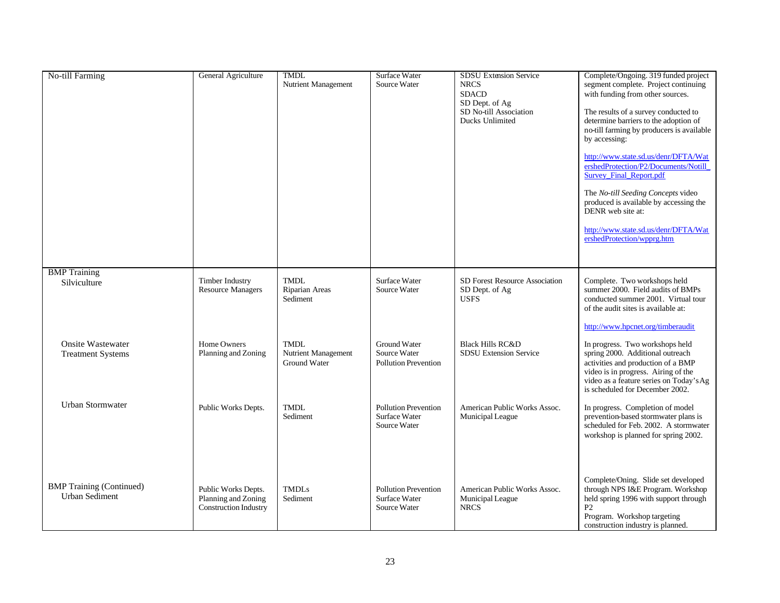| <b>No-till Farming</b>                                   | General Agriculture                                                 | <b>TMDL</b><br>Nutrient Management                 | Surface Water<br>Source Water                                      | <b>SDSU Extension Service</b><br><b>NRCS</b><br><b>SDACD</b><br>SD Dept. of Ag<br>SD No-till Association<br>Ducks Unlimited | Complete/Ongoing. 319 funded project<br>segment complete. Project continuing<br>with funding from other sources.<br>The results of a survey conducted to<br>determine barriers to the adoption of<br>no-till farming by producers is available<br>by accessing:<br>http://www.state.sd.us/denr/DFTA/Wat<br>ershedProtection/P2/Documents/Notill<br>Survey_Final_Report.pdf<br>The No-till Seeding Concepts video<br>produced is available by accessing the<br>DENR web site at:<br>http://www.state.sd.us/denr/DFTA/Wat<br>ershedProtection/wpprg.htm |
|----------------------------------------------------------|---------------------------------------------------------------------|----------------------------------------------------|--------------------------------------------------------------------|-----------------------------------------------------------------------------------------------------------------------------|-------------------------------------------------------------------------------------------------------------------------------------------------------------------------------------------------------------------------------------------------------------------------------------------------------------------------------------------------------------------------------------------------------------------------------------------------------------------------------------------------------------------------------------------------------|
| <b>BMP</b> Training<br>Silviculture                      | Timber Industry<br><b>Resource Managers</b>                         | <b>TMDL</b><br>Riparian Areas<br>Sediment          | Surface Water<br>Source Water                                      | SD Forest Resource Association<br>SD Dept. of Ag<br><b>USFS</b>                                                             | Complete. Two workshops held<br>summer 2000. Field audits of BMPs<br>conducted summer 2001. Virtual tour<br>of the audit sites is available at:                                                                                                                                                                                                                                                                                                                                                                                                       |
| <b>Onsite Wastewater</b><br><b>Treatment Systems</b>     | Home Owners<br>Planning and Zoning                                  | <b>TMDL</b><br>Nutrient Management<br>Ground Water | <b>Ground Water</b><br>Source Water<br><b>Pollution Prevention</b> | <b>Black Hills RC&amp;D</b><br><b>SDSU Extension Service</b>                                                                | http://www.hpcnet.org/timberaudit<br>In progress. Two workshops held<br>spring 2000. Additional outreach<br>activities and production of a BMP<br>video is in progress. Airing of the<br>video as a feature series on Today's Ag<br>is scheduled for December 2002.                                                                                                                                                                                                                                                                                   |
| <b>Urban Stormwater</b>                                  | Public Works Depts.                                                 | <b>TMDL</b><br>Sediment                            | <b>Pollution Prevention</b><br>Surface Water<br>Source Water       | American Public Works Assoc.<br>Municipal League                                                                            | In progress. Completion of model<br>prevention-based stormwater plans is<br>scheduled for Feb. 2002. A stormwater<br>workshop is planned for spring 2002.                                                                                                                                                                                                                                                                                                                                                                                             |
| <b>BMP</b> Training (Continued)<br><b>Urban Sediment</b> | Public Works Depts.<br>Planning and Zoning<br>Construction Industry | <b>TMDLs</b><br>Sediment                           | <b>Pollution Prevention</b><br>Surface Water<br>Source Water       | American Public Works Assoc.<br>Municipal League<br><b>NRCS</b>                                                             | Complete/Oning. Slide set developed<br>through NPS I&E Program. Workshop<br>held spring 1996 with support through<br>P <sub>2</sub><br>Program. Workshop targeting<br>construction industry is planned.                                                                                                                                                                                                                                                                                                                                               |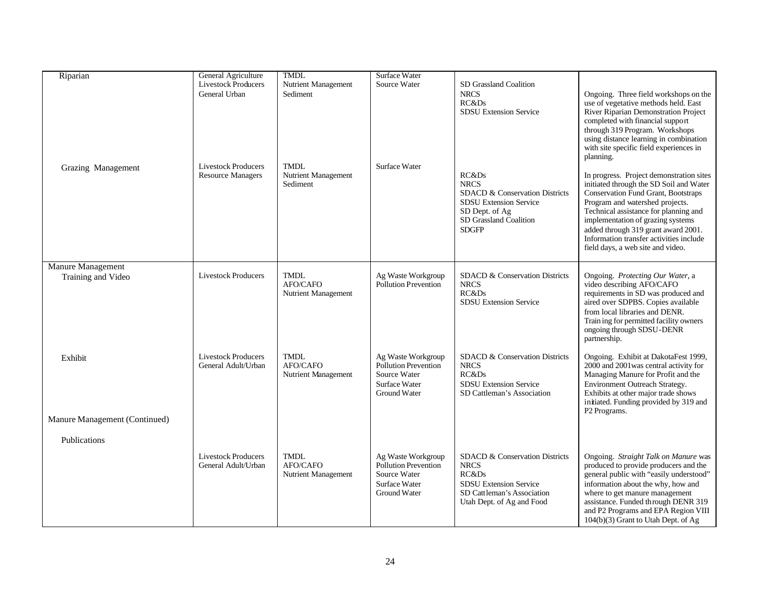| Riparian                                | General Agriculture                               | <b>TMDL</b>                                    | Surface Water                                                                                      |                                                                                                                                                         |                                                                                                                                                                                                                                                                                                                                                                    |
|-----------------------------------------|---------------------------------------------------|------------------------------------------------|----------------------------------------------------------------------------------------------------|---------------------------------------------------------------------------------------------------------------------------------------------------------|--------------------------------------------------------------------------------------------------------------------------------------------------------------------------------------------------------------------------------------------------------------------------------------------------------------------------------------------------------------------|
|                                         | <b>Livestock Producers</b><br>General Urban       | Nutrient Management<br>Sediment                | Source Water                                                                                       | SD Grassland Coalition<br><b>NRCS</b><br>RC&Ds                                                                                                          | Ongoing. Three field workshops on the<br>use of vegetative methods held. East                                                                                                                                                                                                                                                                                      |
|                                         | <b>Livestock Producers</b>                        |                                                | Surface Water                                                                                      | <b>SDSU Extension Service</b>                                                                                                                           | River Riparian Demonstration Project<br>completed with financial support<br>through 319 Program. Workshops<br>using distance learning in combination<br>with site specific field experiences in<br>planning.                                                                                                                                                       |
| Grazing Management                      | <b>Resource Managers</b>                          | <b>TMDL</b><br>Nutrient Management<br>Sediment |                                                                                                    | RC&Ds<br><b>NRCS</b><br><b>SDACD &amp; Conservation Districts</b><br>SDSU Extension Service<br>SD Dept. of Ag<br>SD Grassland Coalition<br><b>SDGFP</b> | In progress. Project demonstration sites<br>initiated through the SD Soil and Water<br>Conservation Fund Grant, Bootstraps<br>Program and watershed projects.<br>Technical assistance for planning and<br>implementation of grazing systems<br>added through 319 grant award 2001.<br>Information transfer activities include<br>field days, a web site and video. |
| Manure Management<br>Training and Video | <b>Livestock Producers</b>                        | <b>TMDL</b><br>AFO/CAFO<br>Nutrient Management | Ag Waste Workgroup<br><b>Pollution Prevention</b>                                                  | SDACD & Conservation Districts<br><b>NRCS</b><br>RC&Ds<br><b>SDSU Extension Service</b>                                                                 | Ongoing. Protecting Our Water, a<br>video describing AFO/CAFO<br>requirements in SD was produced and<br>aired over SDPBS. Copies available<br>from local libraries and DENR.<br>Train ing for permitted facility owners<br>ongoing through SDSU-DENR<br>partnership.                                                                                               |
| Exhibit                                 | <b>Livestock Producers</b><br>General Adult/Urban | <b>TMDL</b><br>AFO/CAFO<br>Nutrient Management | Ag Waste Workgroup<br>Pollution Prevention<br>Source Water<br>Surface Water<br><b>Ground Water</b> | SDACD & Conservation Districts<br><b>NRCS</b><br>RC&Ds<br><b>SDSU Extension Service</b><br>SD Cattleman's Association                                   | Ongoing. Exhibit at DakotaFest 1999,<br>2000 and 2001 was central activity for<br>Managing Manure for Profit and the<br>Environment Outreach Strategy.<br>Exhibits at other major trade shows<br>initiated. Funding provided by 319 and<br>P2 Programs.                                                                                                            |
| Manure Management (Continued)           |                                                   |                                                |                                                                                                    |                                                                                                                                                         |                                                                                                                                                                                                                                                                                                                                                                    |
| Publications                            |                                                   |                                                |                                                                                                    |                                                                                                                                                         |                                                                                                                                                                                                                                                                                                                                                                    |
|                                         | <b>Livestock Producers</b><br>General Adult/Urban | <b>TMDL</b><br>AFO/CAFO<br>Nutrient Management | Ag Waste Workgroup<br>Pollution Prevention<br>Source Water<br>Surface Water<br>Ground Water        | SDACD & Conservation Districts<br><b>NRCS</b><br>RC&Ds<br><b>SDSU Extension Service</b><br>SD Cattleman's Association<br>Utah Dept. of Ag and Food      | Ongoing. Straight Talk on Manure was<br>produced to provide producers and the<br>general public with "easily understood"<br>information about the why, how and<br>where to get manure management<br>assistance. Funded through DENR 319<br>and P2 Programs and EPA Region VIII<br>104(b)(3) Grant to Utah Dept. of Ag                                              |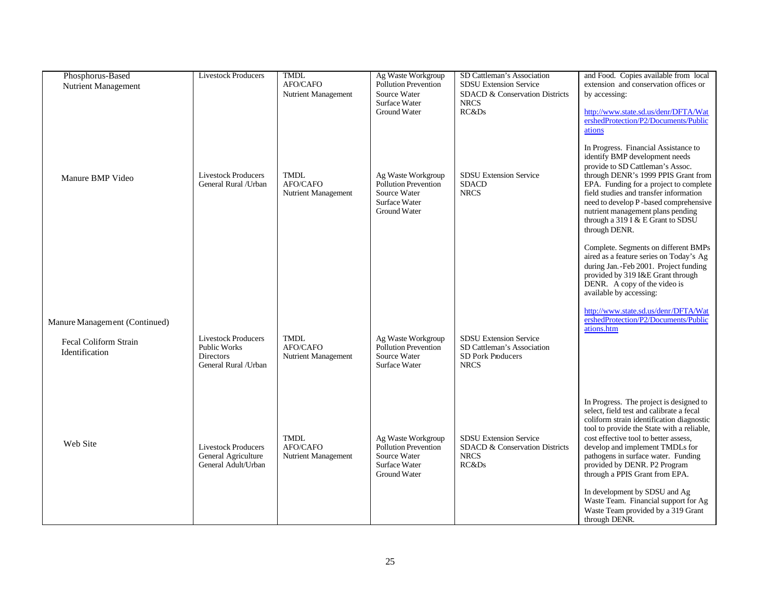| Phosphorus-Based                        | <b>Livestock Producers</b>                                                                     | <b>TMDL</b>                                    | Ag Waste Workgroup                                                                                        | SD Cattleman's Association                                                                             | and Food. Copies available from local                                                                                                                                                                                                                                                                                                                               |
|-----------------------------------------|------------------------------------------------------------------------------------------------|------------------------------------------------|-----------------------------------------------------------------------------------------------------------|--------------------------------------------------------------------------------------------------------|---------------------------------------------------------------------------------------------------------------------------------------------------------------------------------------------------------------------------------------------------------------------------------------------------------------------------------------------------------------------|
| Nutrient Management                     |                                                                                                | AFO/CAFO                                       | Pollution Prevention                                                                                      | SDSU Extension Service                                                                                 | extension and conservation offices or                                                                                                                                                                                                                                                                                                                               |
|                                         |                                                                                                | Nutrient Management                            | Source Water                                                                                              | SDACD & Conservation Districts                                                                         | by accessing:                                                                                                                                                                                                                                                                                                                                                       |
|                                         |                                                                                                |                                                | <b>Surface Water</b>                                                                                      | <b>NRCS</b>                                                                                            |                                                                                                                                                                                                                                                                                                                                                                     |
|                                         |                                                                                                |                                                | Ground Water                                                                                              | RC&Ds                                                                                                  | http://www.state.sd.us/denr/DFTA/Wat                                                                                                                                                                                                                                                                                                                                |
|                                         |                                                                                                |                                                |                                                                                                           |                                                                                                        | ershedProtection/P2/Documents/Public                                                                                                                                                                                                                                                                                                                                |
|                                         |                                                                                                |                                                |                                                                                                           |                                                                                                        | ations                                                                                                                                                                                                                                                                                                                                                              |
| Manure BMP Video                        | <b>Livestock Producers</b><br>General Rural / Urban                                            | <b>TMDL</b><br>AFO/CAFO<br>Nutrient Management | Ag Waste Workgroup<br><b>Pollution Prevention</b><br>Source Water<br><b>Surface Water</b>                 | <b>SDSU Extension Service</b><br><b>SDACD</b><br><b>NRCS</b>                                           | In Progress. Financial Assistance to<br>identify BMP development needs<br>provide to SD Cattleman's Assoc.<br>through DENR's 1999 PPIS Grant from<br>EPA. Funding for a project to complete<br>field studies and transfer information<br>need to develop P-based comprehensive                                                                                      |
|                                         |                                                                                                |                                                | Ground Water                                                                                              |                                                                                                        | nutrient management plans pending<br>through a 319 I & E Grant to SDSU<br>through DENR.                                                                                                                                                                                                                                                                             |
|                                         |                                                                                                |                                                |                                                                                                           |                                                                                                        | Complete. Segments on different BMPs<br>aired as a feature series on Today's Ag<br>during Jan.-Feb 2001. Project funding<br>provided by 319 I&E Grant through<br>DENR. A copy of the video is<br>available by accessing:                                                                                                                                            |
| Manure Management (Continued)           |                                                                                                |                                                |                                                                                                           |                                                                                                        | http://www.state.sd.us/denr/DFTA/Wat<br>ershedProtection/P2/Documents/Public<br>ations.htm                                                                                                                                                                                                                                                                          |
| Fecal Coliform Strain<br>Identification | <b>Livestock Producers</b><br><b>Public Works</b><br><b>Directors</b><br>General Rural / Urban | <b>TMDL</b><br>AFO/CAFO<br>Nutrient Management | Ag Waste Workgroup<br><b>Pollution Prevention</b><br>Source Water<br>Surface Water                        | <b>SDSU Extension Service</b><br>SD Cattleman's Association<br><b>SD Pork Producers</b><br><b>NRCS</b> |                                                                                                                                                                                                                                                                                                                                                                     |
| Web Site                                | <b>Livestock Producers</b><br>General Agriculture<br>General Adult/Urban                       | <b>TMDL</b><br>AFO/CAFO<br>Nutrient Management | Ag Waste Workgroup<br><b>Pollution Prevention</b><br>Source Water<br><b>Surface Water</b><br>Ground Water | <b>SDSU Extension Service</b><br>SDACD & Conservation Districts<br><b>NRCS</b><br>RC&Ds                | In Progress. The project is designed to<br>select, field test and calibrate a fecal<br>coliform strain identification diagnostic<br>tool to provide the State with a reliable,<br>cost effective tool to better assess,<br>develop and implement TMDLs for<br>pathogens in surface water. Funding<br>provided by DENR. P2 Program<br>through a PPIS Grant from EPA. |
|                                         |                                                                                                |                                                |                                                                                                           |                                                                                                        | In development by SDSU and Ag<br>Waste Team. Financial support for Ag<br>Waste Team provided by a 319 Grant<br>through DENR.                                                                                                                                                                                                                                        |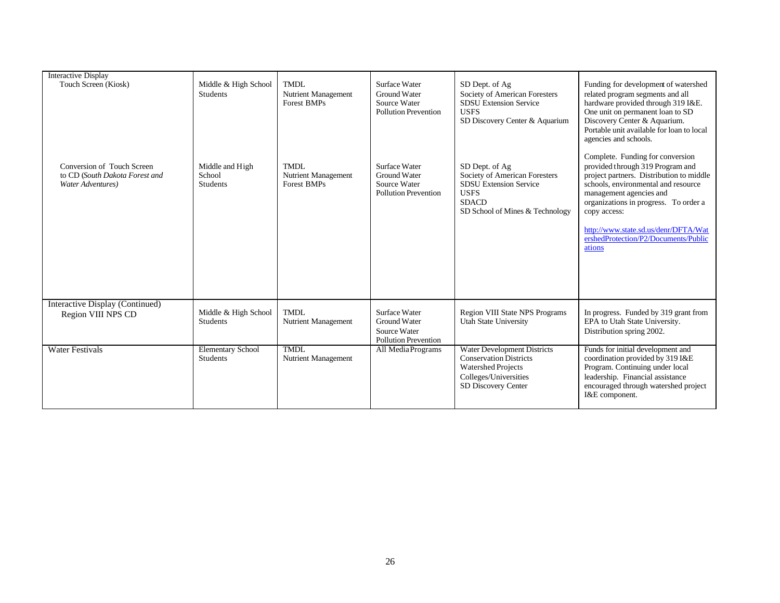| <b>Interactive Display</b>                                                        |                                              |                                                          |                                                                                     |                                                                                                                                                    |                                                                                                                                                                                                                                                                                                                                       |
|-----------------------------------------------------------------------------------|----------------------------------------------|----------------------------------------------------------|-------------------------------------------------------------------------------------|----------------------------------------------------------------------------------------------------------------------------------------------------|---------------------------------------------------------------------------------------------------------------------------------------------------------------------------------------------------------------------------------------------------------------------------------------------------------------------------------------|
| Touch Screen (Kiosk)                                                              | Middle & High School<br>Students             | <b>TMDL</b><br>Nutrient Management<br><b>Forest BMPs</b> | Surface Water<br><b>Ground Water</b><br>Source Water<br><b>Pollution Prevention</b> | SD Dept. of Ag<br>Society of American Foresters<br><b>SDSU Extension Service</b><br><b>USES</b><br>SD Discovery Center & Aquarium                  | Funding for development of watershed<br>related program segments and all<br>hardware provided through 319 I&E.<br>One unit on permanent loan to SD<br>Discovery Center & Aquarium.<br>Portable unit available for loan to local<br>agencies and schools.                                                                              |
| Conversion of Touch Screen<br>to CD (South Dakota Forest and<br>Water Adventures) | Middle and High<br>School<br><b>Students</b> | TMDL<br>Nutrient Management<br><b>Forest BMPs</b>        | Surface Water<br>Ground Water<br>Source Water<br><b>Pollution Prevention</b>        | SD Dept. of Ag<br>Society of American Foresters<br><b>SDSU Extension Service</b><br><b>USFS</b><br><b>SDACD</b><br>SD School of Mines & Technology | Complete. Funding for conversion<br>provided through 319 Program and<br>project partners. Distribution to middle<br>schools, environmental and resource<br>management agencies and<br>organizations in progress. To order a<br>copy access:<br>http://www.state.sd.us/denr/DFTA/Wat<br>ershedProtection/P2/Documents/Public<br>ations |
| Interactive Display (Continued)                                                   |                                              |                                                          |                                                                                     |                                                                                                                                                    |                                                                                                                                                                                                                                                                                                                                       |
| Region VIII NPS CD                                                                | Middle & High School<br>Students             | <b>TMDL</b><br>Nutrient Management                       | Surface Water<br>Ground Water<br>Source Water<br><b>Pollution Prevention</b>        | <b>Region VIII State NPS Programs</b><br><b>Utah State University</b>                                                                              | In progress. Funded by 319 grant from<br>EPA to Utah State University.<br>Distribution spring 2002.                                                                                                                                                                                                                                   |
| <b>Water Festivals</b>                                                            | <b>Elementary School</b><br>Students         | <b>TMDL</b><br>Nutrient Management                       | All MediaPrograms                                                                   | <b>Water Development Districts</b><br><b>Conservation Districts</b><br><b>Watershed Projects</b><br>Colleges/Universities<br>SD Discovery Center   | Funds for initial development and<br>coordination provided by 319 I&E<br>Program. Continuing under local<br>leadership. Financial assistance<br>encouraged through watershed project<br>I&E component.                                                                                                                                |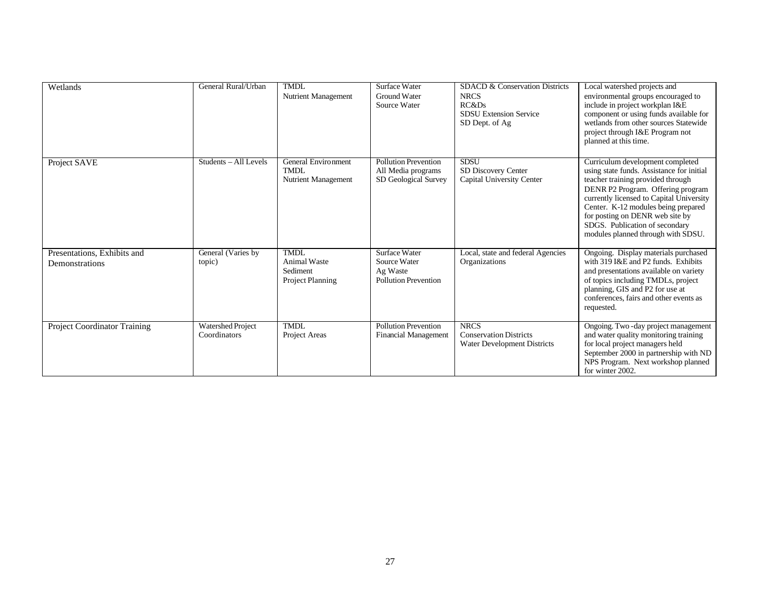| Wetlands                                      | General Rural/Urban                      | <b>TMDL</b><br>Nutrient Management                                 | Surface Water<br>Ground Water<br>Source Water                                   | SDACD & Conservation Districts<br><b>NRCS</b><br>RC&Ds<br><b>SDSU Extension Service</b><br>SD Dept. of Ag | Local watershed projects and<br>environmental groups encouraged to<br>include in project workplan I&E<br>component or using funds available for<br>wetlands from other sources Statewide<br>project through I&E Program not<br>planned at this time.                                                                                                  |
|-----------------------------------------------|------------------------------------------|--------------------------------------------------------------------|---------------------------------------------------------------------------------|-----------------------------------------------------------------------------------------------------------|-------------------------------------------------------------------------------------------------------------------------------------------------------------------------------------------------------------------------------------------------------------------------------------------------------------------------------------------------------|
| Project SAVE                                  | Students - All Levels                    | General Environment<br><b>TMDL</b><br>Nutrient Management          | <b>Pollution Prevention</b><br>All Media programs<br>SD Geological Survey       | <b>SDSU</b><br>SD Discovery Center<br>Capital University Center                                           | Curriculum development completed<br>using state funds. Assistance for initial<br>teacher training provided through<br>DENR P2 Program. Offering program<br>currently licensed to Capital University<br>Center. K-12 modules being prepared<br>for posting on DENR web site by<br>SDGS. Publication of secondary<br>modules planned through with SDSU. |
| Presentations, Exhibits and<br>Demonstrations | General (Varies by<br>topic)             | <b>TMDL</b><br><b>Animal Waste</b><br>Sediment<br>Project Planning | <b>Surface Water</b><br>Source Water<br>Ag Waste<br><b>Pollution Prevention</b> | Local, state and federal Agencies<br>Organizations                                                        | Ongoing. Display materials purchased<br>with 319 I&E and P2 funds. Exhibits<br>and presentations available on variety<br>of topics including TMDLs, project<br>planning, GIS and P2 for use at<br>conferences, fairs and other events as<br>requested.                                                                                                |
| Project Coordinator Training                  | <b>Watershed Project</b><br>Coordinators | <b>TMDL</b><br>Project Areas                                       | Pollution Prevention<br><b>Financial Management</b>                             | <b>NRCS</b><br><b>Conservation Districts</b><br><b>Water Development Districts</b>                        | Ongoing. Two -day project management<br>and water quality monitoring training<br>for local project managers held<br>September 2000 in partnership with ND<br>NPS Program. Next workshop planned<br>for winter 2002.                                                                                                                                   |